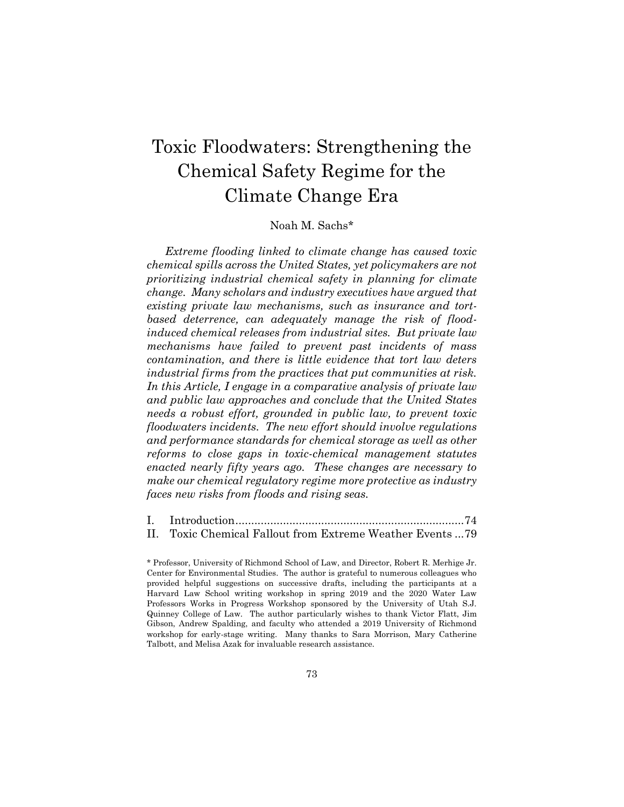# Toxic Floodwaters: Strengthening the Chemical Safety Regime for the Climate Change Era

# Noah M. Sachs\*

*Extreme flooding linked to climate change has caused toxic chemical spills across the United States, yet policymakers are not prioritizing industrial chemical safety in planning for climate change. Many scholars and industry executives have argued that existing private law mechanisms, such as insurance and tortbased deterrence, can adequately manage the risk of floodinduced chemical releases from industrial sites. But private law mechanisms have failed to prevent past incidents of mass contamination, and there is little evidence that tort law deters industrial firms from the practices that put communities at risk. In this Article, I engage in a comparative analysis of private law and public law approaches and conclude that the United States needs a robust effort, grounded in public law, to prevent toxic floodwaters incidents. The new effort should involve regulations and performance standards for chemical storage as well as other reforms to close gaps in toxic-chemical management statutes enacted nearly fifty years ago. These changes are necessary to make our chemical regulatory regime more protective as industry faces new risks from floods and rising seas.*

| II. Toxic Chemical Fallout from Extreme Weather Events79 |  |
|----------------------------------------------------------|--|

<sup>\*</sup> Professor, University of Richmond School of Law, and Director, Robert R. Merhige Jr. Center for Environmental Studies. The author is grateful to numerous colleagues who provided helpful suggestions on successive drafts, including the participants at a Harvard Law School writing workshop in spring 2019 and the 2020 Water Law Professors Works in Progress Workshop sponsored by the University of Utah S.J. Quinney College of Law. The author particularly wishes to thank Victor Flatt, Jim Gibson, Andrew Spalding, and faculty who attended a 2019 University of Richmond workshop for early-stage writing. Many thanks to Sara Morrison, Mary Catherine Talbott, and Melisa Azak for invaluable research assistance.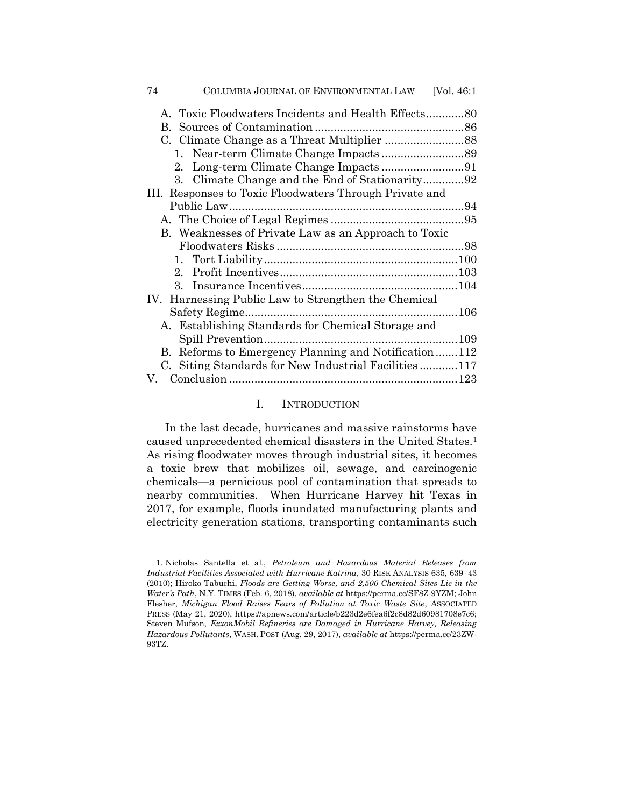| COLUMBIA JOURNAL OF ENVIRONMENTAL LAW<br>74             | [Vol. $46:1$ |  |  |
|---------------------------------------------------------|--------------|--|--|
| A. Toxic Floodwaters Incidents and Health Effects80     |              |  |  |
| $\mathbf{B}$ .                                          |              |  |  |
|                                                         |              |  |  |
|                                                         |              |  |  |
| 2.                                                      |              |  |  |
| 3. Climate Change and the End of Stationarity92         |              |  |  |
| III. Responses to Toxic Floodwaters Through Private and |              |  |  |
|                                                         |              |  |  |
|                                                         |              |  |  |
| B. Weaknesses of Private Law as an Approach to Toxic    |              |  |  |
|                                                         |              |  |  |
|                                                         |              |  |  |
|                                                         |              |  |  |
|                                                         |              |  |  |
| IV. Harnessing Public Law to Strengthen the Chemical    |              |  |  |
|                                                         |              |  |  |
| A. Establishing Standards for Chemical Storage and      |              |  |  |
|                                                         |              |  |  |
| Reforms to Emergency Planning and Notification112<br>В. |              |  |  |
| C. Siting Standards for New Industrial Facilities117    |              |  |  |
|                                                         |              |  |  |

## I. INTRODUCTION

In the last decade, hurricanes and massive rainstorms have caused unprecedented chemical disasters in the United States.<sup>1</sup> As rising floodwater moves through industrial sites, it becomes a toxic brew that mobilizes oil, sewage, and carcinogenic chemicals—a pernicious pool of contamination that spreads to nearby communities. When Hurricane Harvey hit Texas in 2017, for example, floods inundated manufacturing plants and electricity generation stations, transporting contaminants such

<sup>1.</sup> Nicholas Santella et al., *Petroleum and Hazardous Material Releases from Industrial Facilities Associated with Hurricane Katrina*, 30 RISK ANALYSIS 635, 639–43 (2010); Hiroko Tabuchi, *Floods are Getting Worse, and 2,500 Chemical Sites Lie in the Water's Path*, N.Y. TIMES (Feb. 6, 2018), *available at* https://perma.cc/SF8Z-9YZM; John Flesher, *Michigan Flood Raises Fears of Pollution at Toxic Waste Site*, ASSOCIATED PRESS (May 21, 2020), https://apnews.com/article/b223d2e6fea6f2c8d82d60981708e7c6; Steven Mufson, *ExxonMobil Refineries are Damaged in Hurricane Harvey, Releasing Hazardous Pollutants*, WASH. POST (Aug. 29, 2017), *available at* https://perma.cc/23ZW-93TZ.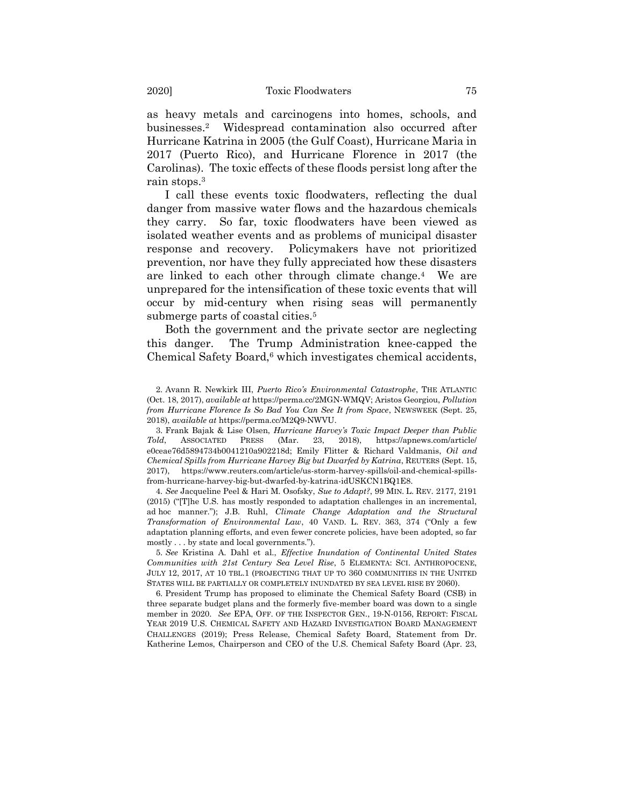as heavy metals and carcinogens into homes, schools, and businesses.<sup>2</sup> Widespread contamination also occurred after Hurricane Katrina in 2005 (the Gulf Coast), Hurricane Maria in 2017 (Puerto Rico), and Hurricane Florence in 2017 (the Carolinas). The toxic effects of these floods persist long after the rain stops.<sup>3</sup>

<span id="page-2-0"></span>I call these events toxic floodwaters, reflecting the dual danger from massive water flows and the hazardous chemicals they carry. So far, toxic floodwaters have been viewed as isolated weather events and as problems of municipal disaster response and recovery. Policymakers have not prioritized prevention, nor have they fully appreciated how these disasters are linked to each other through climate change.<sup>4</sup> We are unprepared for the intensification of these toxic events that will occur by mid-century when rising seas will permanently submerge parts of coastal cities.<sup>5</sup>

<span id="page-2-1"></span>Both the government and the private sector are neglecting this danger. The Trump Administration knee-capped the Chemical Safety Board, $6$  which investigates chemical accidents,

4. *See* Jacqueline Peel & Hari M. Osofsky, *Sue to Adapt?*, 99 MIN. L. REV. 2177, 2191 (2015) ("[T]he U.S. has mostly responded to adaptation challenges in an incremental, ad hoc manner."); J.B. Ruhl, *Climate Change Adaptation and the Structural Transformation of Environmental Law*, 40 VAND. L. REV. 363, 374 ("Only a few adaptation planning efforts, and even fewer concrete policies, have been adopted, so far mostly . . . by state and local governments.").

5. *See* Kristina A. Dahl et al., *Effective Inundation of Continental United States Communities with 21st Century Sea Level Rise*, 5 ELEMENTA: SCI. ANTHROPOCENE, JULY 12, 2017, AT 10 TBL.1 (PROJECTING THAT UP TO 360 COMMUNITIES IN THE UNITED STATES WILL BE PARTIALLY OR COMPLETELY INUNDATED BY SEA LEVEL RISE BY 2060).

6. President Trump has proposed to eliminate the Chemical Safety Board (CSB) in three separate budget plans and the formerly five-member board was down to a single member in 2020. *See* EPA, OFF. OF THE INSPECTOR GEN., 19-N-0156, REPORT: FISCAL YEAR 2019 U.S. CHEMICAL SAFETY AND HAZARD INVESTIGATION BOARD MANAGEMENT CHALLENGES (2019); Press Release, Chemical Safety Board, Statement from Dr. Katherine Lemos, Chairperson and CEO of the U.S. Chemical Safety Board (Apr. 23,

<sup>2.</sup> Avann R. Newkirk III, *Puerto Rico's Environmental Catastrophe*, THE ATLANTIC (Oct. 18, 2017), *available at* https://perma.cc/2MGN-WMQV; Aristos Georgiou, *Pollution from Hurricane Florence Is So Bad You Can See It from Space*, NEWSWEEK (Sept. 25, 2018), *available at* https://perma.cc/M2Q9-NWVU.

<sup>3.</sup> Frank Bajak & Lise Olsen, *Hurricane Harvey's Toxic Impact Deeper than Public Told*, ASSOCIATED PRESS (Mar. 23, 2018), https://apnews.com/article/ e0ceae76d5894734b0041210a902218d; Emily Flitter & Richard Valdmanis, *Oil and Chemical Spills from Hurricane Harvey Big but Dwarfed by Katrina*, REUTERS (Sept. 15, 2017), https://www.reuters.com/article/us-storm-harvey-spills/oil-and-chemical-spillsfrom-hurricane-harvey-big-but-dwarfed-by-katrina-idUSKCN1BQ1E8.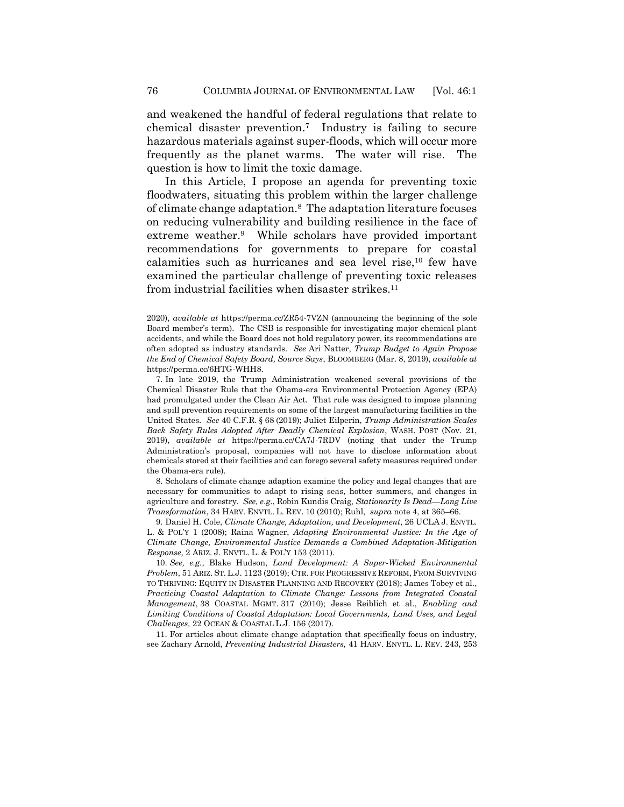and weakened the handful of federal regulations that relate to chemical disaster prevention.<sup>7</sup> Industry is failing to secure hazardous materials against super-floods, which will occur more frequently as the planet warms. The water will rise. The question is how to limit the toxic damage.

<span id="page-3-0"></span>In this Article, I propose an agenda for preventing toxic floodwaters, situating this problem within the larger challenge of climate change adaptation.<sup>8</sup> The adaptation literature focuses on reducing vulnerability and building resilience in the face of extreme weather.<sup>9</sup> While scholars have provided important recommendations for governments to prepare for coastal calamities such as hurricanes and sea level rise,<sup>10</sup> few have examined the particular challenge of preventing toxic releases from industrial facilities when disaster strikes.<sup>11</sup>

7. In late 2019, the Trump Administration weakened several provisions of the Chemical Disaster Rule that the Obama-era Environmental Protection Agency (EPA) had promulgated under the Clean Air Act. That rule was designed to impose planning and spill prevention requirements on some of the largest manufacturing facilities in the United States. *See* 40 C.F.R. § 68 (2019); Juliet Eilperin, *Trump Administration Scales Back Safety Rules Adopted After Deadly Chemical Explosion*, WASH. POST (Nov. 21, 2019), *available at* https://perma.cc/CA7J-7RDV (noting that under the Trump Administration's proposal, companies will not have to disclose information about chemicals stored at their facilities and can forego several safety measures required under the Obama-era rule).

8. Scholars of climate change adaption examine the policy and legal changes that are necessary for communities to adapt to rising seas, hotter summers, and changes in agriculture and forestry. *See, e*.*g*., Robin Kundis Craig, *Stationarity Is Dead—Long Live Transformation*, 34 HARV. ENVTL. L. REV. 10 (2010); Ruhl, *supra* note 4, at 365–66.

9. Daniel H. Cole, *Climate Change, Adaptation, and Development*, 26 UCLA J. ENVTL. L. & POL'Y 1 (2008); Raina Wagner, *Adapting Environmental Justice: In the Age of Climate Change, Environmental Justice Demands a Combined Adaptation-Mitigation Response*, 2 ARIZ. J. ENVTL. L. & POL'Y 153 (2011).

10. *See, e.g.*, Blake Hudson, *Land Development: A Super-Wicked Environmental Problem*, 51 ARIZ. ST. L.J. 1123 (2019); CTR. FOR PROGRESSIVE REFORM, FROM SURVIVING TO THRIVING: EQUITY IN DISASTER PLANNING AND RECOVERY (2018); James Tobey et al., *Practicing Coastal Adaptation to Climate Change: Lessons from Integrated Coastal Management*, 38 COASTAL MGMT. 317 (2010); Jesse Reiblich et al., *Enabling and Limiting Conditions of Coastal Adaptation: Local Governments, Land Uses, and Legal Challenges,* 22 OCEAN & COASTAL L.J. 156 (2017).

11. For articles about climate change adaptation that specifically focus on industry, see Zachary Arnold, *Preventing Industrial Disasters,* 41 HARV. ENVTL. L. REV. 243, 253

<span id="page-3-2"></span><span id="page-3-1"></span><sup>2020),</sup> *available at* https://perma.cc/ZR54-7VZN (announcing the beginning of the sole Board member's term). The CSB is responsible for investigating major chemical plant accidents, and while the Board does not hold regulatory power, its recommendations are often adopted as industry standards. *See* Ari Natter, *Trump Budget to Again Propose the End of Chemical Safety Board, Source Says*, BLOOMBERG (Mar. 8, 2019), *available at*  https://perma.cc/6HTG-WHH8.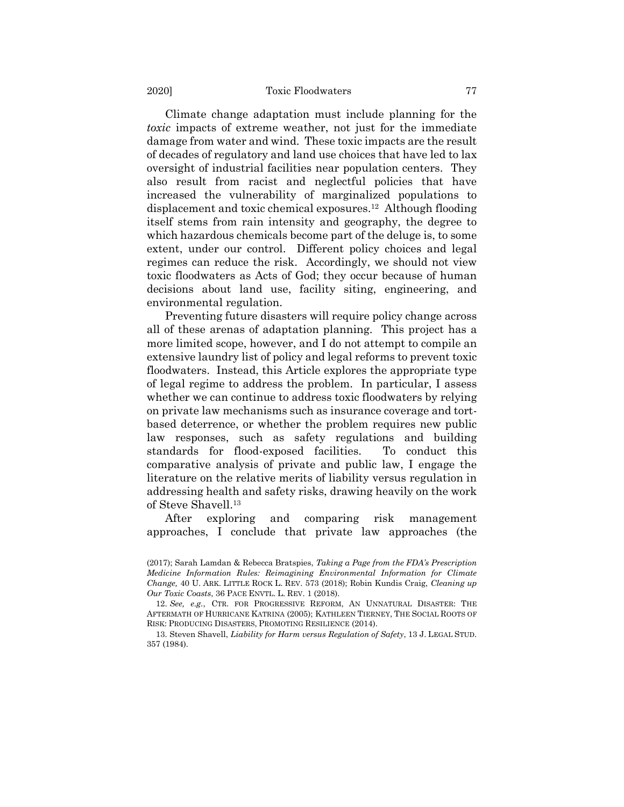#### 2020] Toxic Floodwaters 77

Climate change adaptation must include planning for the *toxic* impacts of extreme weather, not just for the immediate damage from water and wind. These toxic impacts are the result of decades of regulatory and land use choices that have led to lax oversight of industrial facilities near population centers. They also result from racist and neglectful policies that have increased the vulnerability of marginalized populations to displacement and toxic chemical exposures.<sup>12</sup> Although flooding itself stems from rain intensity and geography, the degree to which hazardous chemicals become part of the deluge is, to some extent, under our control. Different policy choices and legal regimes can reduce the risk. Accordingly, we should not view toxic floodwaters as Acts of God; they occur because of human decisions about land use, facility siting, engineering, and environmental regulation.

Preventing future disasters will require policy change across all of these arenas of adaptation planning. This project has a more limited scope, however, and I do not attempt to compile an extensive laundry list of policy and legal reforms to prevent toxic floodwaters. Instead, this Article explores the appropriate type of legal regime to address the problem. In particular, I assess whether we can continue to address toxic floodwaters by relying on private law mechanisms such as insurance coverage and tortbased deterrence, or whether the problem requires new public law responses, such as safety regulations and building standards for flood-exposed facilities. To conduct this comparative analysis of private and public law, I engage the literature on the relative merits of liability versus regulation in addressing health and safety risks, drawing heavily on the work of Steve Shavell.<sup>13</sup>

<span id="page-4-0"></span>After exploring and comparing risk management approaches, I conclude that private law approaches (the

<sup>(2017);</sup> Sarah Lamdan & Rebecca Bratspies, *Taking a Page from the FDA's Prescription Medicine Information Rules: Reimagining Environmental Information for Climate Change,* 40 U. ARK. LITTLE ROCK L. REV. 573 (2018); Robin Kundis Craig, *Cleaning up Our Toxic Coasts*, 36 PACE ENVTL. L. REV. 1 (2018).

<sup>12.</sup> *See, e.g.*, CTR. FOR PROGRESSIVE REFORM, AN UNNATURAL DISASTER: THE AFTERMATH OF HURRICANE KATRINA (2005); KATHLEEN TIERNEY, THE SOCIAL ROOTS OF RISK: PRODUCING DISASTERS, PROMOTING RESILIENCE (2014).

<sup>13.</sup> Steven Shavell, *Liability for Harm versus Regulation of Safety*, 13 J. LEGAL STUD. 357 (1984).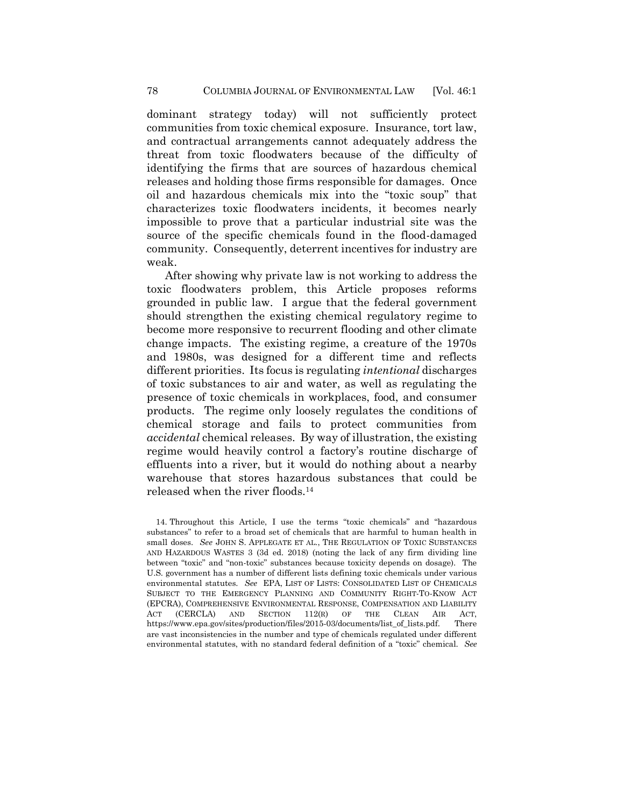dominant strategy today) will not sufficiently protect communities from toxic chemical exposure. Insurance, tort law, and contractual arrangements cannot adequately address the threat from toxic floodwaters because of the difficulty of identifying the firms that are sources of hazardous chemical releases and holding those firms responsible for damages. Once oil and hazardous chemicals mix into the "toxic soup" that characterizes toxic floodwaters incidents, it becomes nearly impossible to prove that a particular industrial site was the source of the specific chemicals found in the flood-damaged community. Consequently, deterrent incentives for industry are weak.

After showing why private law is not working to address the toxic floodwaters problem, this Article proposes reforms grounded in public law. I argue that the federal government should strengthen the existing chemical regulatory regime to become more responsive to recurrent flooding and other climate change impacts. The existing regime, a creature of the 1970s and 1980s, was designed for a different time and reflects different priorities. Its focus is regulating *intentional* discharges of toxic substances to air and water, as well as regulating the presence of toxic chemicals in workplaces, food, and consumer products. The regime only loosely regulates the conditions of chemical storage and fails to protect communities from *accidental* chemical releases. By way of illustration, the existing regime would heavily control a factory's routine discharge of effluents into a river, but it would do nothing about a nearby warehouse that stores hazardous substances that could be released when the river floods.<sup>14</sup>

<span id="page-5-0"></span><sup>14.</sup> Throughout this Article, I use the terms "toxic chemicals" and "hazardous substances" to refer to a broad set of chemicals that are harmful to human health in small doses. *See* JOHN S. APPLEGATE ET AL., THE REGULATION OF TOXIC SUBSTANCES AND HAZARDOUS WASTES 3 (3d ed. 2018) (noting the lack of any firm dividing line between "toxic" and "non-toxic" substances because toxicity depends on dosage). The U.S. government has a number of different lists defining toxic chemicals under various environmental statutes. *See* EPA, LIST OF LISTS: CONSOLIDATED LIST OF CHEMICALS SUBJECT TO THE EMERGENCY PLANNING AND COMMUNITY RIGHT-TO-KNOW ACT (EPCRA), COMPREHENSIVE ENVIRONMENTAL RESPONSE, COMPENSATION AND LIABILITY ACT (CERCLA) AND SECTION 112(R) OF THE CLEAN AIR ACT, https://www.epa.gov/sites/production/files/2015-03/documents/list\_of\_lists.pdf. There are vast inconsistencies in the number and type of chemicals regulated under different environmental statutes, with no standard federal definition of a "toxic" chemical. *See*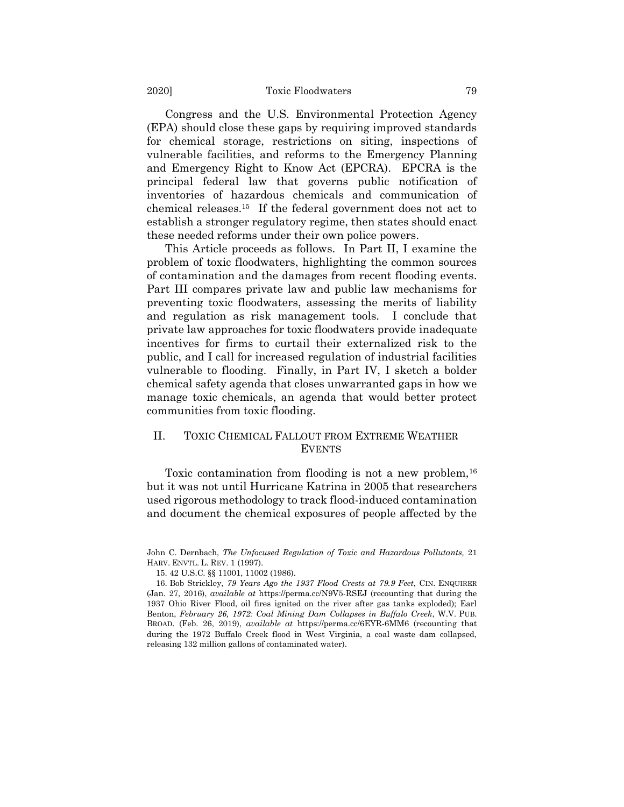Congress and the U.S. Environmental Protection Agency (EPA) should close these gaps by requiring improved standards for chemical storage, restrictions on siting, inspections of vulnerable facilities, and reforms to the Emergency Planning and Emergency Right to Know Act (EPCRA). EPCRA is the principal federal law that governs public notification of inventories of hazardous chemicals and communication of chemical releases.<sup>15</sup> If the federal government does not act to establish a stronger regulatory regime, then states should enact these needed reforms under their own police powers.

This Article proceeds as follows. In Part II, I examine the problem of toxic floodwaters, highlighting the common sources of contamination and the damages from recent flooding events. Part III compares private law and public law mechanisms for preventing toxic floodwaters, assessing the merits of liability and regulation as risk management tools. I conclude that private law approaches for toxic floodwaters provide inadequate incentives for firms to curtail their externalized risk to the public, and I call for increased regulation of industrial facilities vulnerable to flooding. Finally, in Part IV, I sketch a bolder chemical safety agenda that closes unwarranted gaps in how we manage toxic chemicals, an agenda that would better protect communities from toxic flooding.

## II. TOXIC CHEMICAL FALLOUT FROM EXTREME WEATHER EVENTS

Toxic contamination from flooding is not a new problem,<sup>16</sup> but it was not until Hurricane Katrina in 2005 that researchers used rigorous methodology to track flood-induced contamination and document the chemical exposures of people affected by the

John C. Dernbach, *The Unfocused Regulation of Toxic and Hazardous Pollutants,* 21 HARV. ENVTL. L. REV. 1 (1997).

<sup>15.</sup> 42 U.S.C. §§ 11001, 11002 (1986).

<sup>16.</sup> Bob Strickley, *79 Years Ago the 1937 Flood Crests at 79.9 Feet*, CIN. ENQUIRER (Jan. 27, 2016), *available at* https://perma.cc/N9V5-RSEJ (recounting that during the 1937 Ohio River Flood, oil fires ignited on the river after gas tanks exploded); Earl Benton, *February 26, 1972: Coal Mining Dam Collapses in Buffalo Creek*, W.V. PUB. BROAD. (Feb. 26, 2019), *available at* https://perma.cc/6EYR-6MM6 (recounting that during the 1972 Buffalo Creek flood in West Virginia, a coal waste dam collapsed, releasing 132 million gallons of contaminated water).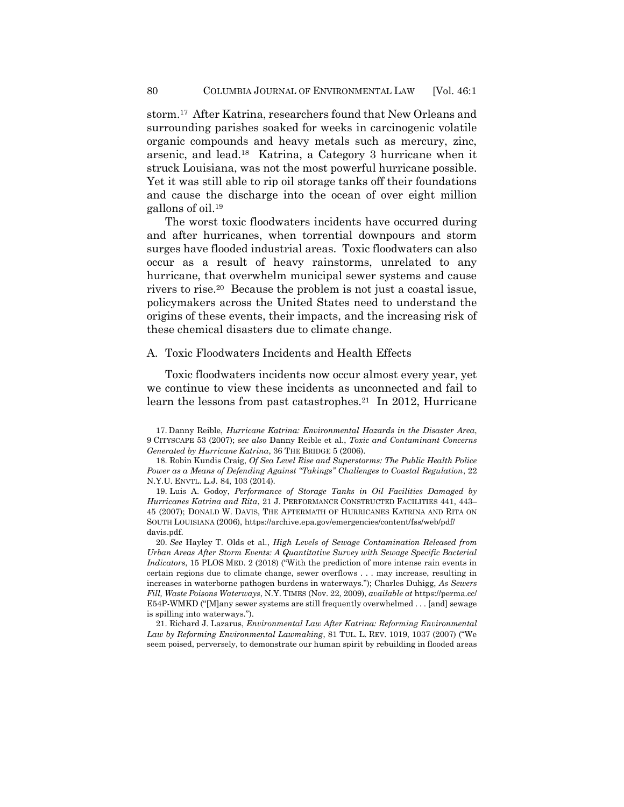storm.<sup>17</sup> After Katrina, researchers found that New Orleans and surrounding parishes soaked for weeks in carcinogenic volatile organic compounds and heavy metals such as mercury, zinc, arsenic, and lead.<sup>18</sup> Katrina, a Category 3 hurricane when it struck Louisiana, was not the most powerful hurricane possible. Yet it was still able to rip oil storage tanks off their foundations and cause the discharge into the ocean of over eight million gallons of oil.<sup>19</sup>

The worst toxic floodwaters incidents have occurred during and after hurricanes, when torrential downpours and storm surges have flooded industrial areas. Toxic floodwaters can also occur as a result of heavy rainstorms, unrelated to any hurricane, that overwhelm municipal sewer systems and cause rivers to rise.<sup>20</sup> Because the problem is not just a coastal issue, policymakers across the United States need to understand the origins of these events, their impacts, and the increasing risk of these chemical disasters due to climate change.

## A. Toxic Floodwaters Incidents and Health Effects

<span id="page-7-0"></span>Toxic floodwaters incidents now occur almost every year, yet we continue to view these incidents as unconnected and fail to learn the lessons from past catastrophes.<sup>21</sup> In 2012, Hurricane

17. Danny Reible, *Hurricane Katrina: Environmental Hazards in the Disaster Area*, 9 CITYSCAPE 53 (2007); *see also* Danny Reible et al., *Toxic and Contaminant Concerns Generated by Hurricane Katrina*, 36 THE BRIDGE 5 (2006).

18. Robin Kundis Craig, *Of Sea Level Rise and Superstorms: The Public Health Police Power as a Means of Defending Against "Takings" Challenges to Coastal Regulation*, 22 N.Y.U. ENVTL. L.J. 84, 103 (2014).

19. Luis A. Godoy, *Performance of Storage Tanks in Oil Facilities Damaged by Hurricanes Katrina and Rita*, 21 J. PERFORMANCE CONSTRUCTED FACILITIES 441, 443– 45 (2007); DONALD W. DAVIS, THE AFTERMATH OF HURRICANES KATRINA AND RITA ON SOUTH LOUISIANA (2006),<https://archive.epa.gov/emergencies/content/fss/web/pdf/> davis.pdf.

20. *See* Hayley T. Olds et al., *High Levels of Sewage Contamination Released from Urban Areas After Storm Events: A Quantitative Survey with Sewage Specific Bacterial Indicators*, 15 PLOS MED. 2 (2018) ("With the prediction of more intense rain events in certain regions due to climate change, sewer overflows . . . may increase, resulting in increases in waterborne pathogen burdens in waterways."); Charles Duhigg, *As Sewers Fill, Waste Poisons Waterways*, N.Y. TIMES (Nov. 22, 2009), *available at* https://perma.cc/ E54P-WMKD ("[M]any sewer systems are still frequently overwhelmed . . . [and] sewage is spilling into waterways.").

21. Richard J. Lazarus, *Environmental Law After Katrina: Reforming Environmental Law by Reforming Environmental Lawmaking*, 81 TUL. L. REV. 1019, 1037 (2007) ("We seem poised, perversely, to demonstrate our human spirit by rebuilding in flooded areas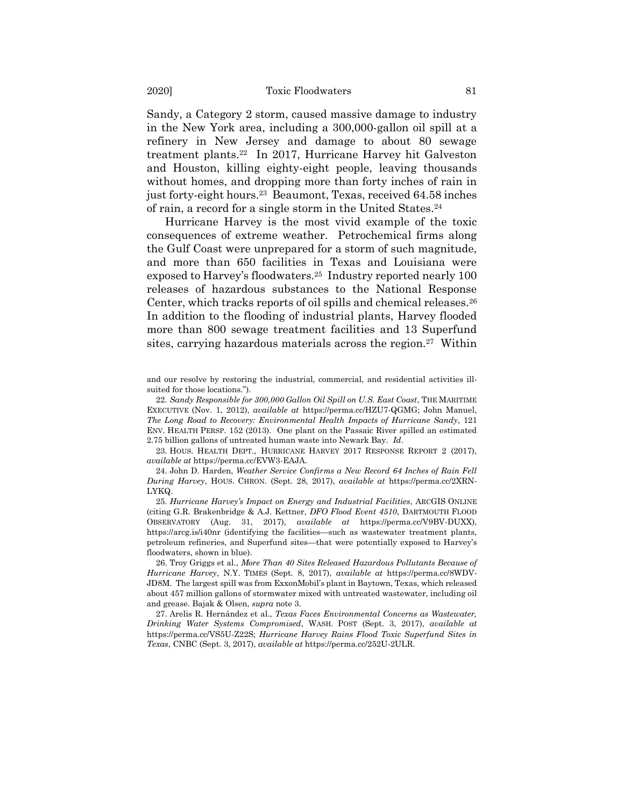Sandy, a Category 2 storm, caused massive damage to industry in the New York area, including a 300,000-gallon oil spill at a refinery in New Jersey and damage to about 80 sewage treatment plants.<sup>22</sup> In 2017, Hurricane Harvey hit Galveston and Houston, killing eighty-eight people, leaving thousands without homes, and dropping more than forty inches of rain in just forty-eight hours.<sup>23</sup> Beaumont, Texas, received 64.58 inches of rain, a record for a single storm in the United States.<sup>24</sup>

Hurricane Harvey is the most vivid example of the toxic consequences of extreme weather. Petrochemical firms along the Gulf Coast were unprepared for a storm of such magnitude, and more than 650 facilities in Texas and Louisiana were exposed to Harvey's floodwaters.<sup>25</sup> Industry reported nearly 100 releases of hazardous substances to the National Response Center, which tracks reports of oil spills and chemical releases.<sup>26</sup> In addition to the flooding of industrial plants, Harvey flooded more than 800 sewage treatment facilities and 13 Superfund sites, carrying hazardous materials across the region.<sup>27</sup> Within

and our resolve by restoring the industrial, commercial, and residential activities illsuited for those locations.").

22. *Sandy Responsible for 300,000 Gallon Oil Spill on U.S. East Coast*, THE MARITIME EXECUTIVE (Nov. 1, 2012), *available at* https://perma.cc/HZU7-QGMG; John Manuel, *The Long Road to Recovery: Environmental Health Impacts of Hurricane Sandy*, 121 ENV. HEALTH PERSP. 152 (2013). One plant on the Passaic River spilled an estimated 2.75 billion gallons of untreated human waste into Newark Bay. *Id*.

23. HOUS. HEALTH DEPT., HURRICANE HARVEY 2017 RESPONSE REPORT 2 (2017), *available at* https://perma.cc/EVW3-EAJA.

24. John D. Harden, *Weather Service Confirms a New Record 64 Inches of Rain Fell During Harvey*, HOUS. CHRON. (Sept. 28, 2017), *available at* https://perma.cc/2XRN-LYKQ.

25. *Hurricane Harvey's Impact on Energy and Industrial Facilities*, ARCGIS ONLINE (citing G.R. Brakenbridge & A.J. Kettner, *DFO Flood Event 4510*, DARTMOUTH FLOOD OBSERVATORY (Aug. 31, 2017), *available at* https://perma.cc/V9BV-DUXX), https://arcg.is/i40nr (identifying the facilities—such as wastewater treatment plants, petroleum refineries, and Superfund sites—that were potentially exposed to Harvey's floodwaters, shown in blue).

26. Troy Griggs et al., *More Than 40 Sites Released Hazardous Pollutants Because of Hurricane Harvey*, N.Y. TIMES (Sept. 8, 2017), *available at* https://perma.cc/8WDV-JD8M. The largest spill was from ExxonMobil's plant in Baytown, Texas, which released about 457 million gallons of stormwater mixed with untreated wastewater, including oil and grease. Bajak & Olsen, *supra* not[e 3.](#page-2-0)

27. Arelis R. Hernández et al., *Texas Faces Environmental Concerns as Wastewater, Drinking Water Systems Compromised*, WASH. POST (Sept. 3, 2017), *available at*  https://perma.cc/VS5U-Z22S; *Hurricane Harvey Rains Flood Toxic Superfund Sites in Texas*, CNBC (Sept. 3, 2017), *available at* https://perma.cc/252U-2ULR.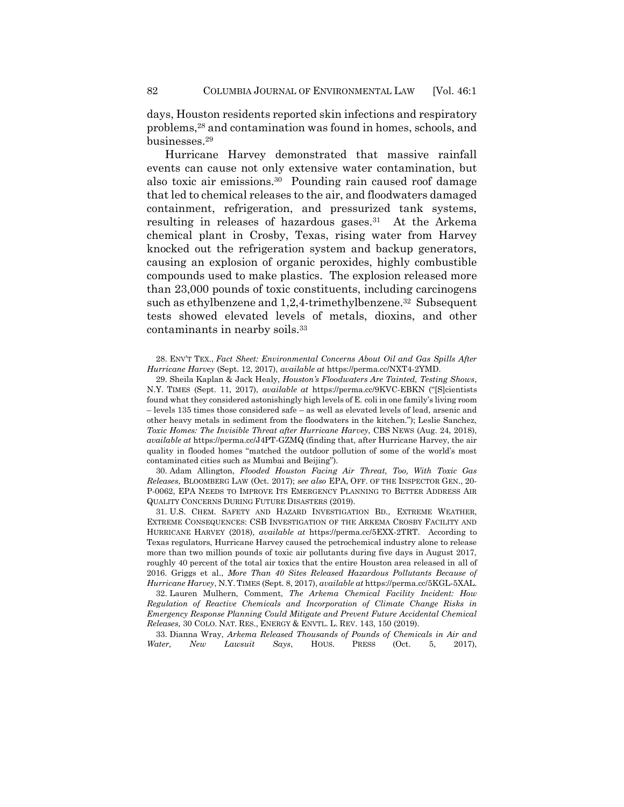<span id="page-9-0"></span>days, Houston residents reported skin infections and respiratory problems,<sup>28</sup> and contamination was found in homes, schools, and businesses.<sup>29</sup>

Hurricane Harvey demonstrated that massive rainfall events can cause not only extensive water contamination, but also toxic air emissions.<sup>30</sup> Pounding rain caused roof damage that led to chemical releases to the air, and floodwaters damaged containment, refrigeration, and pressurized tank systems, resulting in releases of hazardous gases.<sup>31</sup> At the Arkema chemical plant in Crosby, Texas, rising water from Harvey knocked out the refrigeration system and backup generators, causing an explosion of organic peroxides, highly combustible compounds used to make plastics. The explosion released more than 23,000 pounds of toxic constituents, including carcinogens such as ethylbenzene and 1,2,4-trimethylbenzene.<sup>32</sup> Subsequent tests showed elevated levels of metals, dioxins, and other contaminants in nearby soils.<sup>33</sup>

28. ENV'T TEX., *Fact Sheet: Environmental Concerns About Oil and Gas Spills After Hurricane Harvey* (Sept. 12, 2017), *available at* https://perma.cc/NXT4-2YMD.

29. Sheila Kaplan & Jack Healy, *Houston's Floodwaters Are Tainted, Testing Shows*, N.Y. TIMES (Sept. 11, 2017), *available at* https://perma.cc/9KVC-EBKN ("[S]cientists found what they considered astonishingly high levels of E. coli in one family's living room – levels 135 times those considered safe – as well as elevated levels of lead, arsenic and other heavy metals in sediment from the floodwaters in the kitchen."); Leslie Sanchez, *Toxic Homes: The Invisible Threat after Hurricane Harvey*, CBS NEWS (Aug. 24, 2018), *available at* https://perma.cc/J4PT-GZMQ (finding that, after Hurricane Harvey, the air quality in flooded homes "matched the outdoor pollution of some of the world's most contaminated cities such as Mumbai and Beijing").

30. Adam Allington, *Flooded Houston Facing Air Threat, Too, With Toxic Gas Releases*, BLOOMBERG LAW (Oct. 2017); *see also* EPA, OFF. OF THE INSPECTOR GEN., 20- P-0062, EPA NEEDS TO IMPROVE ITS EMERGENCY PLANNING TO BETTER ADDRESS AIR QUALITY CONCERNS DURING FUTURE DISASTERS (2019).

31. U.S. CHEM. SAFETY AND HAZARD INVESTIGATION BD., EXTREME WEATHER, EXTREME CONSEQUENCES: CSB INVESTIGATION OF THE ARKEMA CROSBY FACILITY AND HURRICANE HARVEY (2018), *available at* https://perma.cc/5EXX-2TRT. According to Texas regulators, Hurricane Harvey caused the petrochemical industry alone to release more than two million pounds of toxic air pollutants during five days in August 2017, roughly 40 percent of the total air toxics that the entire Houston area released in all of 2016. Griggs et al., *More Than 40 Sites Released Hazardous Pollutants Because of Hurricane Harvey*, N.Y. TIMES (Sept. 8, 2017), *available at* https://perma.cc/5KGL-5XAL.

32. Lauren Mulhern, Comment, *The Arkema Chemical Facility Incident: How Regulation of Reactive Chemicals and Incorporation of Climate Change Risks in Emergency Response Planning Could Mitigate and Prevent Future Accidental Chemical Releases*, 30 COLO. NAT. RES., ENERGY & ENVTL. L. REV. 143, 150 (2019).

33. Dianna Wray, *Arkema Released Thousands of Pounds of Chemicals in Air and Water, New Lawsuit Says*, HOUS. PRESS (Oct. 5, 2017),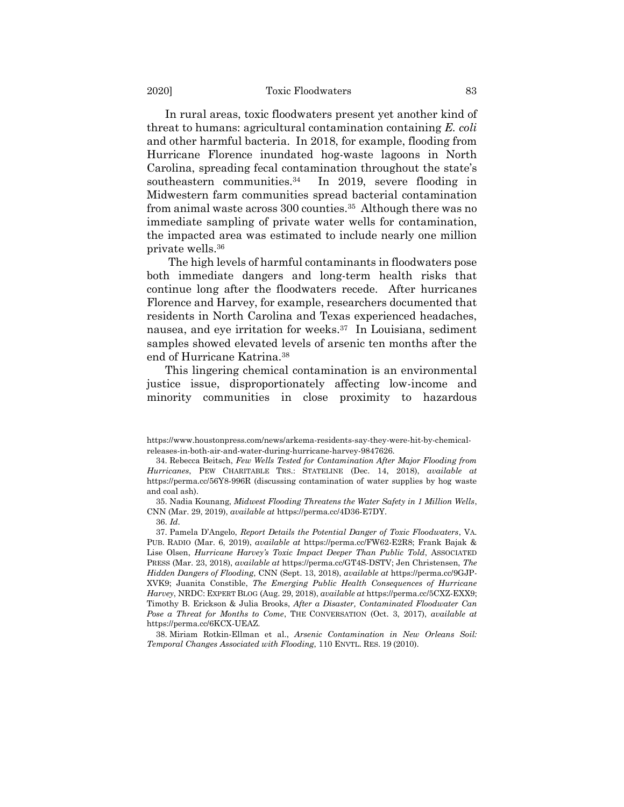In rural areas, toxic floodwaters present yet another kind of threat to humans: agricultural contamination containing *E. coli* and other harmful bacteria. In 2018, for example, flooding from Hurricane Florence inundated hog-waste lagoons in North Carolina, spreading fecal contamination throughout the state's southeastern communities.<sup>34</sup> In 2019, severe flooding in Midwestern farm communities spread bacterial contamination from animal waste across 300 counties.<sup>35</sup> Although there was no immediate sampling of private water wells for contamination, the impacted area was estimated to include nearly one million private wells.<sup>36</sup>

The high levels of harmful contaminants in floodwaters pose both immediate dangers and long-term health risks that continue long after the floodwaters recede. After hurricanes Florence and Harvey, for example, researchers documented that residents in North Carolina and Texas experienced headaches, nausea, and eye irritation for weeks.<sup>37</sup> In Louisiana, sediment samples showed elevated levels of arsenic ten months after the end of Hurricane Katrina.<sup>38</sup>

<span id="page-10-0"></span>This lingering chemical contamination is an environmental justice issue, disproportionately affecting low-income and minority communities in close proximity to hazardous

https://www.houstonpress.com/news/arkema-residents-say-they-were-hit-by-chemicalreleases-in-both-air-and-water-during-hurricane-harvey-9847626.

<sup>34.</sup> Rebecca Beitsch, *Few Wells Tested for Contamination After Major Flooding from Hurricanes*, PEW CHARITABLE TRS.: STATELINE (Dec. 14, 2018), *available at* https://perma.cc/56Y8-996R (discussing contamination of water supplies by hog waste and coal ash).

<sup>35.</sup> Nadia Kounang, *Midwest Flooding Threatens the Water Safety in 1 Million Wells*, CNN (Mar. 29, 2019), *available at* https://perma.cc/4D36-E7DY.

<sup>36.</sup> *Id*.

<sup>37.</sup> Pamela D'Angelo, *Report Details the Potential Danger of Toxic Floodwaters*, VA. PUB. RADIO (Mar. 6, 2019), *available at* https://perma.cc/FW62-E2R8; Frank Bajak & Lise Olsen, *Hurricane Harvey's Toxic Impact Deeper Than Public Told*, ASSOCIATED PRESS (Mar. 23, 2018), *available at* https://perma.cc/GT4S-DSTV; Jen Christensen, *The Hidden Dangers of Flooding*, CNN (Sept. 13, 2018), *available at* https://perma.cc/9GJP-XVK9; Juanita Constible, *The Emerging Public Health Consequences of Hurricane Harvey*, NRDC: EXPERT BLOG (Aug. 29, 2018), *available at* https://perma.cc/5CXZ-EXX9; Timothy B. Erickson & Julia Brooks, *After a Disaster, Contaminated Floodwater Can Pose a Threat for Months to Come*, THE CONVERSATION (Oct. 3, 2017), *available at*  https://perma.cc/6KCX-UEAZ.

<sup>38.</sup> Miriam Rotkin-Ellman et al., *Arsenic Contamination in New Orleans Soil: Temporal Changes Associated with Flooding*, 110 ENVTL. RES. 19 (2010).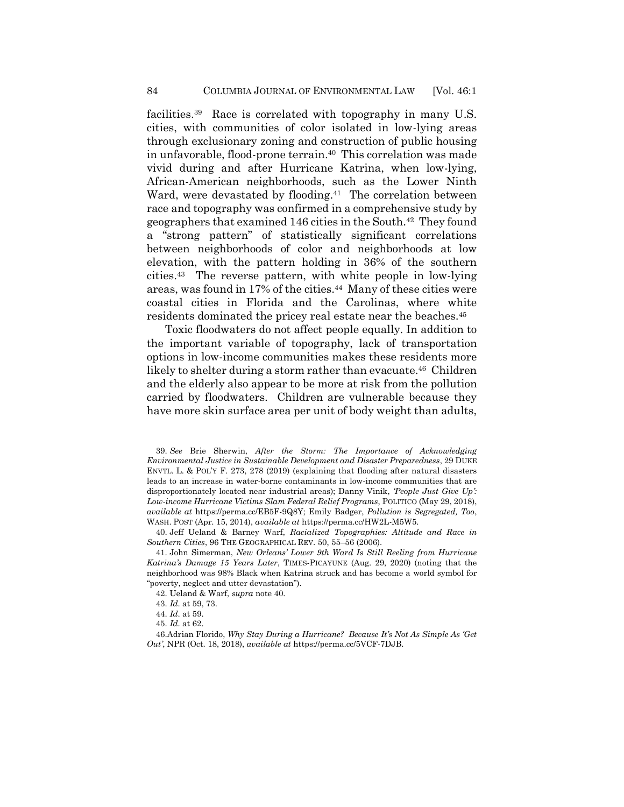<span id="page-11-0"></span>facilities.<sup>39</sup> Race is correlated with topography in many U.S. cities, with communities of color isolated in low-lying areas through exclusionary zoning and construction of public housing in unfavorable, flood-prone terrain.<sup>40</sup> This correlation was made vivid during and after Hurricane Katrina, when low-lying, African-American neighborhoods, such as the Lower Ninth Ward, were devastated by flooding.<sup>41</sup> The correlation between race and topography was confirmed in a comprehensive study by geographers that examined 146 cities in the South.<sup>42</sup> They found a "strong pattern" of statistically significant correlations between neighborhoods of color and neighborhoods at low elevation, with the pattern holding in 36% of the southern cities.<sup>43</sup> The reverse pattern, with white people in low-lying areas, was found in 17% of the cities.<sup>44</sup> Many of these cities were coastal cities in Florida and the Carolinas, where white residents dominated the pricey real estate near the beaches.<sup>45</sup>

Toxic floodwaters do not affect people equally. In addition to the important variable of topography, lack of transportation options in low-income communities makes these residents more likely to shelter during a storm rather than evacuate.<sup>46</sup> Children and the elderly also appear to be more at risk from the pollution carried by floodwaters. Children are vulnerable because they have more skin surface area per unit of body weight than adults,

39. *See* Brie Sherwin, *After the Storm: The Importance of Acknowledging Environmental Justice in Sustainable Development and Disaster Preparedness*, 29 DUKE ENVTL. L. & POL'Y F. 273, 278 (2019) (explaining that flooding after natural disasters leads to an increase in water-borne contaminants in low-income communities that are disproportionately located near industrial areas); Danny Vinik, *'People Just Give Up': Low-income Hurricane Victims Slam Federal Relief Programs*, POLITICO (May 29, 2018), *available at* https://perma.cc/EB5F-9Q8Y; Emily Badger, *Pollution is Segregated, Too*, WASH. POST (Apr. 15, 2014), *available at* https://perma.cc/HW2L-M5W5.

40. Jeff Ueland & Barney Warf, *Racialized Topographies: Altitude and Race in Southern Cities*, 96 THE GEOGRAPHICAL REV. 50, 55–56 (2006).

41. John Simerman, *New Orleans' Lower 9th Ward Is Still Reeling from Hurricane Katrina's Damage 15 Years Later*, TIMES-PICAYUNE (Aug. 29, 2020) (noting that the neighborhood was 98% Black when Katrina struck and has become a world symbol for "poverty, neglect and utter devastation").

42. Ueland & Warf, *supra* note [40.](#page-11-0)

- 43. *Id*. at 59, 73.
- 44. *Id*. at 59.
- 45. *Id*. at 62.

46.Adrian Florido, *Why Stay During a Hurricane? Because It's Not As Simple As 'Get Out'*, NPR (Oct. 18, 2018), *available at* https://perma.cc/5VCF-7DJB.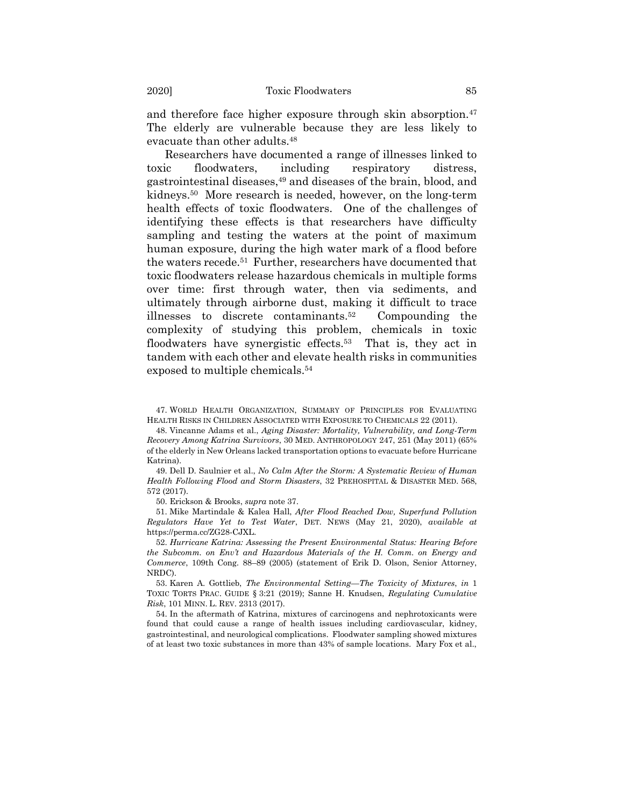and therefore face higher exposure through skin absorption.<sup>47</sup> The elderly are vulnerable because they are less likely to evacuate than other adults.<sup>48</sup>

Researchers have documented a range of illnesses linked to toxic floodwaters, including respiratory distress, gastrointestinal diseases,<sup>49</sup> and diseases of the brain, blood, and kidneys.<sup>50</sup> More research is needed, however, on the long-term health effects of toxic floodwaters. One of the challenges of identifying these effects is that researchers have difficulty sampling and testing the waters at the point of maximum human exposure, during the high water mark of a flood before the waters recede.<sup>51</sup> Further, researchers have documented that toxic floodwaters release hazardous chemicals in multiple forms over time: first through water, then via sediments, and ultimately through airborne dust, making it difficult to trace illnesses to discrete contaminants.<sup>52</sup> Compounding the complexity of studying this problem, chemicals in toxic floodwaters have synergistic effects.<sup>53</sup> That is, they act in tandem with each other and elevate health risks in communities exposed to multiple chemicals.<sup>54</sup>

47. WORLD HEALTH ORGANIZATION, SUMMARY OF PRINCIPLES FOR EVALUATING HEALTH RISKS IN CHILDREN ASSOCIATED WITH EXPOSURE TO CHEMICALS 22 (2011).

48. Vincanne Adams et al., *Aging Disaster: Mortality, Vulnerability, and Long-Term Recovery Among Katrina Survivors*, 30 MED. ANTHROPOLOGY 247, 251 (May 2011) (65% of the elderly in New Orleans lacked transportation options to evacuate before Hurricane Katrina).

49. Dell D. Saulnier et al., *No Calm After the Storm: A Systematic Review of Human Health Following Flood and Storm Disasters*, 32 PREHOSPITAL & DISASTER MED. 568, 572 (2017).

50. Erickson & Brooks, *supra* note [37.](#page-10-0)

51. Mike Martindale & Kalea Hall, *After Flood Reached Dow, Superfund Pollution Regulators Have Yet to Test Water*, DET. NEWS (May 21, 2020), *available at*  https://perma.cc/ZG28-CJXL.

52. *Hurricane Katrina: Assessing the Present Environmental Status: Hearing Before the Subcomm. on Env't and Hazardous Materials of the H. Comm. on Energy and Commerce*, 109th Cong. 88–89 (2005) (statement of Erik D. Olson, Senior Attorney, NRDC).

53. Karen A. Gottlieb, *The Environmental Setting—The Toxicity of Mixtures*, *in* 1 TOXIC TORTS PRAC. GUIDE § 3:21 (2019); Sanne H. Knudsen, *Regulating Cumulative Risk*, 101 MINN. L. REV. 2313 (2017).

54. In the aftermath of Katrina, mixtures of carcinogens and nephrotoxicants were found that could cause a range of health issues including cardiovascular, kidney, gastrointestinal, and neurological complications. Floodwater sampling showed mixtures of at least two toxic substances in more than 43% of sample locations. Mary Fox et al.,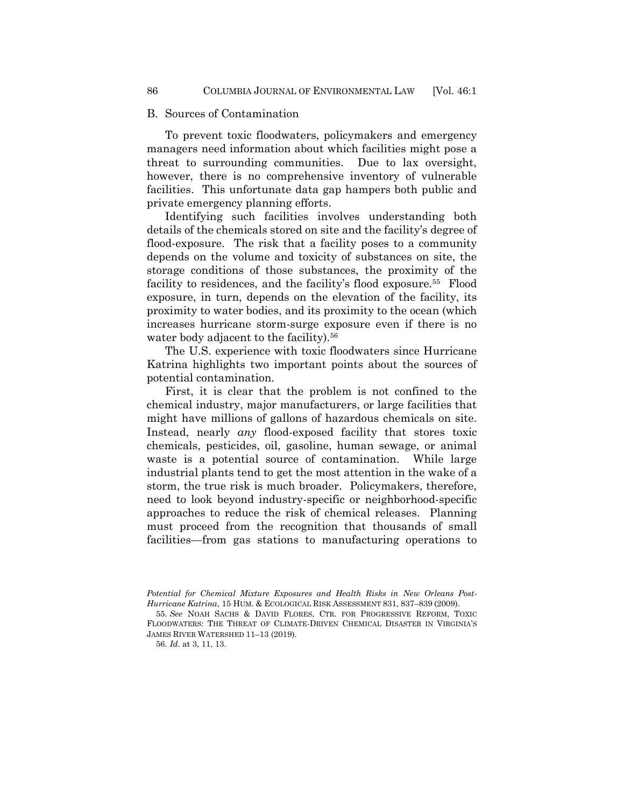#### B. Sources of Contamination

To prevent toxic floodwaters, policymakers and emergency managers need information about which facilities might pose a threat to surrounding communities. Due to lax oversight, however, there is no comprehensive inventory of vulnerable facilities. This unfortunate data gap hampers both public and private emergency planning efforts.

<span id="page-13-0"></span>Identifying such facilities involves understanding both details of the chemicals stored on site and the facility's degree of flood-exposure. The risk that a facility poses to a community depends on the volume and toxicity of substances on site, the storage conditions of those substances, the proximity of the facility to residences, and the facility's flood exposure.<sup>55</sup> Flood exposure, in turn, depends on the elevation of the facility, its proximity to water bodies, and its proximity to the ocean (which increases hurricane storm-surge exposure even if there is no water body adjacent to the facility).<sup>56</sup>

The U.S. experience with toxic floodwaters since Hurricane Katrina highlights two important points about the sources of potential contamination.

First, it is clear that the problem is not confined to the chemical industry, major manufacturers, or large facilities that might have millions of gallons of hazardous chemicals on site. Instead, nearly *any* flood-exposed facility that stores toxic chemicals, pesticides, oil, gasoline, human sewage, or animal waste is a potential source of contamination. While large industrial plants tend to get the most attention in the wake of a storm, the true risk is much broader. Policymakers, therefore, need to look beyond industry-specific or neighborhood-specific approaches to reduce the risk of chemical releases. Planning must proceed from the recognition that thousands of small facilities—from gas stations to manufacturing operations to

*Potential for Chemical Mixture Exposures and Health Risks in New Orleans Post-Hurricane Katrina*, 15 HUM. & ECOLOGICAL RISK ASSESSMENT 831, 837–839 (2009).

<sup>55.</sup> *See* NOAH SACHS & DAVID FLORES, CTR. FOR PROGRESSIVE REFORM, TOXIC FLOODWATERS: THE THREAT OF CLIMATE-DRIVEN CHEMICAL DISASTER IN VIRGINIA'S JAMES RIVER WATERSHED 11–13 (2019).

<sup>56.</sup> *Id*. at 3, 11, 13.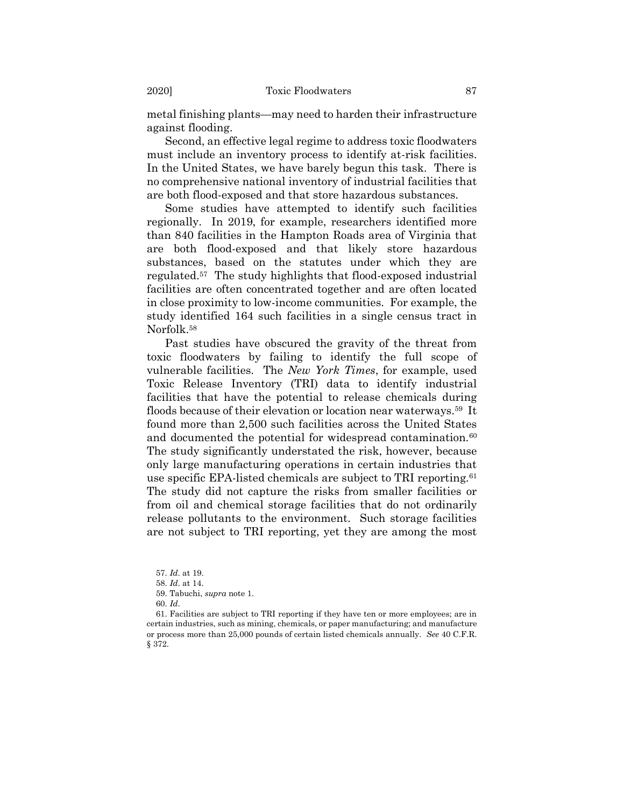metal finishing plants—may need to harden their infrastructure against flooding.

Second, an effective legal regime to address toxic floodwaters must include an inventory process to identify at-risk facilities. In the United States, we have barely begun this task. There is no comprehensive national inventory of industrial facilities that are both flood-exposed and that store hazardous substances.

Some studies have attempted to identify such facilities regionally. In 2019, for example, researchers identified more than 840 facilities in the Hampton Roads area of Virginia that are both flood-exposed and that likely store hazardous substances, based on the statutes under which they are regulated.<sup>57</sup> The study highlights that flood-exposed industrial facilities are often concentrated together and are often located in close proximity to low-income communities. For example, the study identified 164 such facilities in a single census tract in Norfolk.<sup>58</sup>

Past studies have obscured the gravity of the threat from toxic floodwaters by failing to identify the full scope of vulnerable facilities. The *New York Times*, for example, used Toxic Release Inventory (TRI) data to identify industrial facilities that have the potential to release chemicals during floods because of their elevation or location near waterways.<sup>59</sup> It found more than 2,500 such facilities across the United States and documented the potential for widespread contamination.<sup>60</sup> The study significantly understated the risk, however, because only large manufacturing operations in certain industries that use specific EPA-listed chemicals are subject to TRI reporting.<sup>61</sup> The study did not capture the risks from smaller facilities or from oil and chemical storage facilities that do not ordinarily release pollutants to the environment. Such storage facilities are not subject to TRI reporting, yet they are among the most

<sup>57.</sup> *Id*. at 19.

<sup>58.</sup> *Id*. at 14.

<sup>59.</sup> Tabuchi, *supra* note 1.

<sup>60.</sup> *Id*.

<sup>61.</sup> Facilities are subject to TRI reporting if they have ten or more employees; are in certain industries, such as mining, chemicals, or paper manufacturing; and manufacture or process more than 25,000 pounds of certain listed chemicals annually. *See* 40 C.F.R. § 372.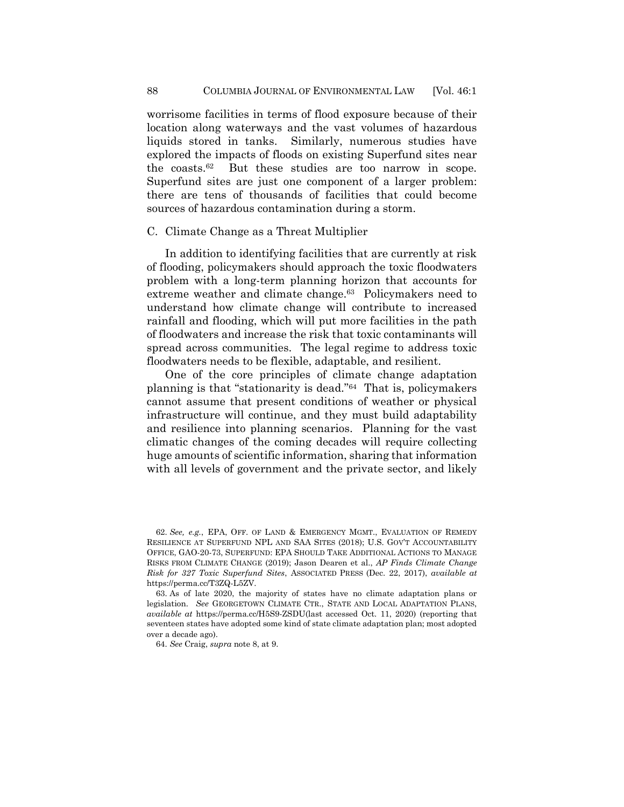worrisome facilities in terms of flood exposure because of their location along waterways and the vast volumes of hazardous liquids stored in tanks. Similarly, numerous studies have explored the impacts of floods on existing Superfund sites near the coasts.<sup>62</sup> But these studies are too narrow in scope. Superfund sites are just one component of a larger problem: there are tens of thousands of facilities that could become sources of hazardous contamination during a storm.

#### C. Climate Change as a Threat Multiplier

In addition to identifying facilities that are currently at risk of flooding, policymakers should approach the toxic floodwaters problem with a long-term planning horizon that accounts for extreme weather and climate change.<sup>63</sup> Policymakers need to understand how climate change will contribute to increased rainfall and flooding, which will put more facilities in the path of floodwaters and increase the risk that toxic contaminants will spread across communities. The legal regime to address toxic floodwaters needs to be flexible, adaptable, and resilient.

One of the core principles of climate change adaptation planning is that "stationarity is dead."<sup>64</sup> That is, policymakers cannot assume that present conditions of weather or physical infrastructure will continue, and they must build adaptability and resilience into planning scenarios. Planning for the vast climatic changes of the coming decades will require collecting huge amounts of scientific information, sharing that information with all levels of government and the private sector, and likely

64. *See* Craig, *supra* not[e 8,](#page-3-0) at 9.

<sup>62.</sup> *See, e.g.*, EPA, OFF. OF LAND & EMERGENCY MGMT., EVALUATION OF REMEDY RESILIENCE AT SUPERFUND NPL AND SAA SITES (2018); U.S. GOV'T ACCOUNTABILITY OFFICE, GAO-20-73, SUPERFUND: EPA SHOULD TAKE ADDITIONAL ACTIONS TO MANAGE RISKS FROM CLIMATE CHANGE (2019); Jason Dearen et al., *AP Finds Climate Change Risk for 327 Toxic Superfund Sites*, ASSOCIATED PRESS (Dec. 22, 2017), *available at* https://perma.cc/T3ZQ-L5ZV.

<sup>63.</sup> As of late 2020, the majority of states have no climate adaptation plans or legislation. *See* GEORGETOWN CLIMATE CTR., STATE AND LOCAL ADAPTATION PLANS, *available at* https://perma.cc/H5S9-ZSDU(last accessed Oct. 11, 2020) (reporting that seventeen states have adopted some kind of state climate adaptation plan; most adopted over a decade ago).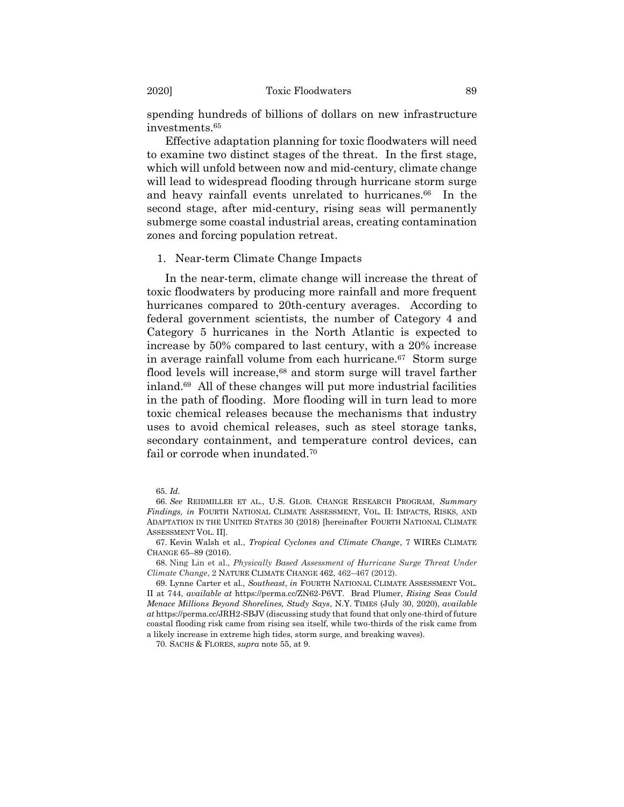spending hundreds of billions of dollars on new infrastructure investments.<sup>65</sup>

Effective adaptation planning for toxic floodwaters will need to examine two distinct stages of the threat. In the first stage, which will unfold between now and mid-century, climate change will lead to widespread flooding through hurricane storm surge and heavy rainfall events unrelated to hurricanes.<sup>66</sup> In the second stage, after mid-century, rising seas will permanently submerge some coastal industrial areas, creating contamination zones and forcing population retreat.

#### <span id="page-16-0"></span>1. Near-term Climate Change Impacts

<span id="page-16-1"></span>In the near-term, climate change will increase the threat of toxic floodwaters by producing more rainfall and more frequent hurricanes compared to 20th-century averages. According to federal government scientists, the number of Category 4 and Category 5 hurricanes in the North Atlantic is expected to increase by 50% compared to last century, with a 20% increase in average rainfall volume from each hurricane.<sup>67</sup> Storm surge flood levels will increase,<sup>68</sup> and storm surge will travel farther inland.<sup>69</sup> All of these changes will put more industrial facilities in the path of flooding. More flooding will in turn lead to more toxic chemical releases because the mechanisms that industry uses to avoid chemical releases, such as steel storage tanks, secondary containment, and temperature control devices, can fail or corrode when inundated.<sup>70</sup>

70. SACHS & FLORES, *supra* not[e 55,](#page-13-0) at 9.

<sup>65.</sup> *Id*.

<sup>66.</sup> *See* REIDMILLER ET AL., U.S. GLOB. CHANGE RESEARCH PROGRAM, *Summary Findings, in* FOURTH NATIONAL CLIMATE ASSESSMENT, VOL. II: IMPACTS, RISKS, AND ADAPTATION IN THE UNITED STATES 30 (2018) [hereinafter FOURTH NATIONAL CLIMATE ASSESSMENT VOL. II].

<sup>67.</sup> Kevin Walsh et al., *Tropical Cyclones and Climate Change*, 7 WIRES CLIMATE CHANGE 65–89 (2016).

<sup>68.</sup> Ning Lin et al., *Physically Based Assessment of Hurricane Surge Threat Under Climate Change*, 2 NATURE CLIMATE CHANGE 462, 462–467 (2012).

<sup>69.</sup> Lynne Carter et al., *Southeast*, *in* FOURTH NATIONAL CLIMATE ASSESSMENT VOL. II at 744, *available at* https://perma.cc/ZN62-P6VT. Brad Plumer, *Rising Seas Could Menace Millions Beyond Shorelines, Study Says*, N.Y. TIMES (July 30, 2020), *available at* https://perma.cc/JRH2-SBJV (discussing study that found that only one-third of future coastal flooding risk came from rising sea itself, while two-thirds of the risk came from a likely increase in extreme high tides, storm surge, and breaking waves).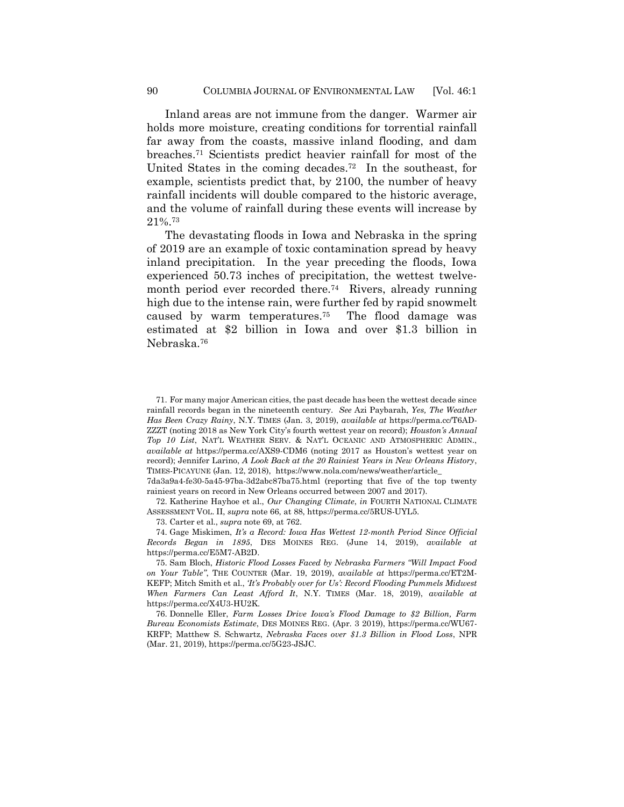Inland areas are not immune from the danger. Warmer air holds more moisture, creating conditions for torrential rainfall far away from the coasts, massive inland flooding, and dam breaches. <sup>71</sup> Scientists predict heavier rainfall for most of the United States in the coming decades.<sup>72</sup> In the southeast, for example, scientists predict that, by 2100, the number of heavy rainfall incidents will double compared to the historic average, and the volume of rainfall during these events will increase by 21%.<sup>73</sup>

The devastating floods in Iowa and Nebraska in the spring of 2019 are an example of toxic contamination spread by heavy inland precipitation. In the year preceding the floods, Iowa experienced 50.73 inches of precipitation, the wettest twelvemonth period ever recorded there.<sup>74</sup> Rivers, already running high due to the intense rain, were further fed by rapid snowmelt caused by warm temperatures.<sup>75</sup> The flood damage was estimated at \$2 billion in Iowa and over \$1.3 billion in Nebraska.<sup>76</sup>

71. For many major American cities, the past decade has been the wettest decade since rainfall records began in the nineteenth century. *See* Azi Paybarah, *Yes, The Weather Has Been Crazy Rainy*, N.Y. TIMES (Jan. 3, 2019), *available at* https://perma.cc/T6AD-ZZZT (noting 2018 as New York City's fourth wettest year on record); *Houston's Annual Top 10 List*, NAT'L WEATHER SERV. & NAT'L OCEANIC AND ATMOSPHERIC ADMIN., *available at* https://perma.cc/AXS9-CDM6 (noting 2017 as Houston's wettest year on record); Jennifer Larino, *A Look Back at the 20 Rainiest Years in New Orleans History*, TIMES-PICAYUNE (Jan. 12, 2018), [https://www.nola.com/news/weather/a](https://www.nola.com/news/weather/)rticle\_

7da3a9a4-fe30-5a45-97ba-3d2abc87ba75.html (reporting that five of the top twenty rainiest years on record in New Orleans occurred between 2007 and 2017).

72. Katherine Hayhoe et al., *Our Changing Climate*, *in* FOURTH NATIONAL CLIMATE ASSESSMENT VOL. II, *supra* note [66,](#page-16-0) at 88, https://perma.cc/5RUS-UYL5.

73. Carter et al., *supra* not[e 69,](#page-16-1) at 762.

74. Gage Miskimen, *It's a Record: Iowa Has Wettest 12-month Period Since Official Records Began in 1895*, DES MOINES REG. (June 14, 2019), *available at*  https://perma.cc/E5M7-AB2D.

75. Sam Bloch, *Historic Flood Losses Faced by Nebraska Farmers "Will Impact Food on Your Table"*, THE COUNTER (Mar. 19, 2019), *available at* https://perma.cc/ET2M-KEFP; Mitch Smith et al., *'It's Probably over for Us': Record Flooding Pummels Midwest When Farmers Can Least Afford It*, N.Y. TIMES (Mar. 18, 2019), *available at*  https://perma.cc/X4U3-HU2K.

76. Donnelle Eller, *Farm Losses Drive Iowa's Flood Damage to \$2 Billion, Farm Bureau Economists Estimate*, DES MOINES REG. (Apr. 3 2019), https://perma.cc/WU67- KRFP; Matthew S. Schwartz, *Nebraska Faces over \$1.3 Billion in Flood Loss*, NPR (Mar. 21, 2019), https://perma.cc/5G23-JSJC.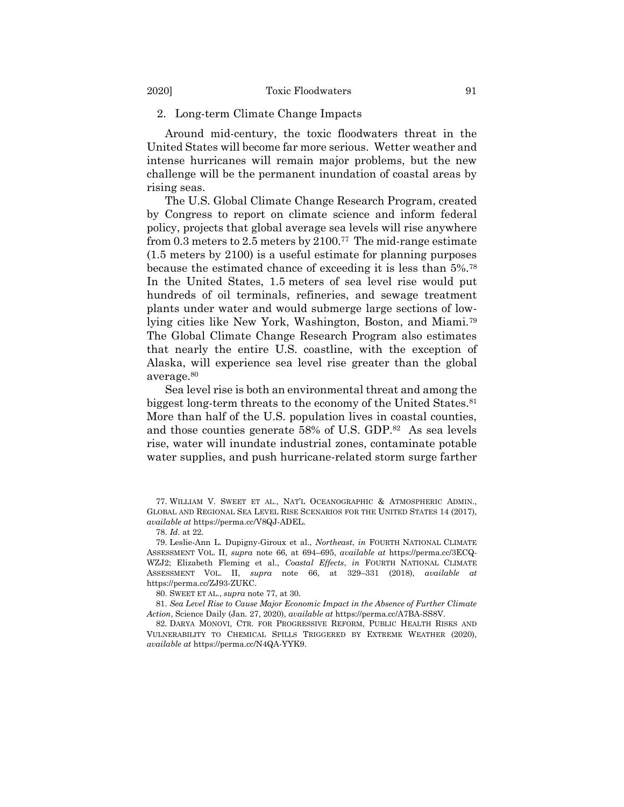#### 2. Long-term Climate Change Impacts

Around mid-century, the toxic floodwaters threat in the United States will become far more serious. Wetter weather and intense hurricanes will remain major problems, but the new challenge will be the permanent inundation of coastal areas by rising seas.

<span id="page-18-0"></span>The U.S. Global Climate Change Research Program, created by Congress to report on climate science and inform federal policy, projects that global average sea levels will rise anywhere from 0.3 meters to 2.5 meters by 2100.<sup>77</sup> The mid-range estimate (1.5 meters by 2100) is a useful estimate for planning purposes because the estimated chance of exceeding it is less than 5%.<sup>78</sup> In the United States, 1.5 meters of sea level rise would put hundreds of oil terminals, refineries, and sewage treatment plants under water and would submerge large sections of lowlying cities like New York, Washington, Boston, and Miami.<sup>79</sup> The Global Climate Change Research Program also estimates that nearly the entire U.S. coastline, with the exception of Alaska, will experience sea level rise greater than the global average.<sup>80</sup>

Sea level rise is both an environmental threat and among the biggest long-term threats to the economy of the United States.<sup>81</sup> More than half of the U.S. population lives in coastal counties, and those counties generate 58% of U.S. GDP.<sup>82</sup> As sea levels rise, water will inundate industrial zones, contaminate potable water supplies, and push hurricane-related storm surge farther

77. WILLIAM V. SWEET ET AL., NAT'L OCEANOGRAPHIC & ATMOSPHERIC ADMIN., GLOBAL AND REGIONAL SEA LEVEL RISE SCENARIOS FOR THE UNITED STATES 14 (2017), *available at* https://perma.cc/V8QJ-ADEL.

78. *Id*. at 22.

79. Leslie-Ann L. Dupigny-Giroux et al., *Northeast*, *in* FOURTH NATIONAL CLIMATE ASSESSMENT VOL. II, *supra* note [66,](#page-16-0) at 694–695, *available at* https://perma.cc/3ECQ-WZJ2; Elizabeth Fleming et al., *Coastal Effects*, *in* FOURTH NATIONAL CLIMATE ASSESSMENT VOL. II, *supra* note [66,](#page-16-0) at 329–331 (2018), *available at*  https://perma.cc/ZJ93-ZUKC.

80. SWEET ET AL., *supra* note [77,](#page-18-0) at 30.

81. *Sea Level Rise to Cause Major Economic Impact in the Absence of Further Climate Action*, Science Daily (Jan. 27, 2020), *available at* https://perma.cc/A7BA-SS8V.

82. DARYA MONOVI, CTR. FOR PROGRESSIVE REFORM, PUBLIC HEALTH RISKS AND VULNERABILITY TO CHEMICAL SPILLS TRIGGERED BY EXTREME WEATHER (2020), *available at* https://perma.cc/N4QA-YYK9.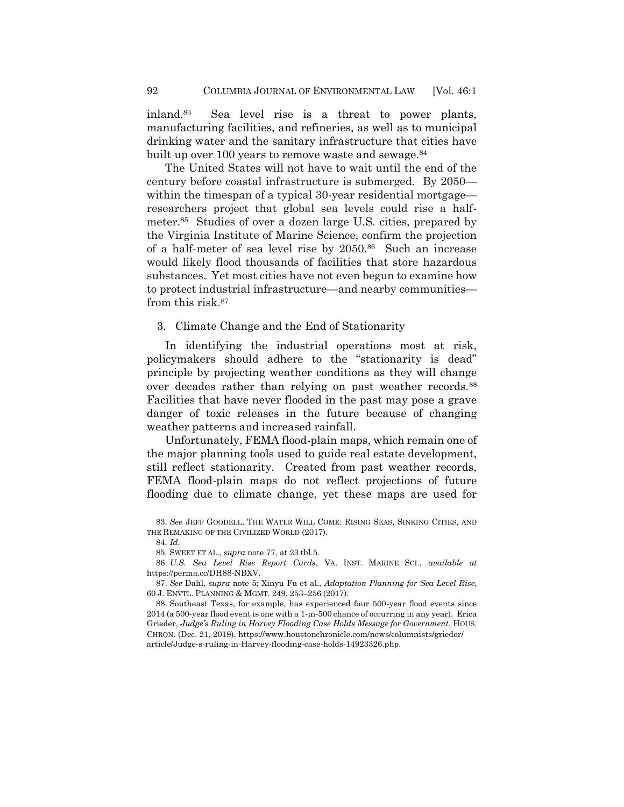inland.<sup>83</sup> Sea level rise is a threat to power plants, manufacturing facilities, and refineries, as well as to municipal drinking water and the sanitary infrastructure that cities have built up over 100 years to remove waste and sewage.<sup>84</sup>

The United States will not have to wait until the end of the century before coastal infrastructure is submerged. By 2050 within the timespan of a typical 30-year residential mortgage researchers project that global sea levels could rise a halfmeter.<sup>85</sup> Studies of over a dozen large U.S. cities, prepared by the Virginia Institute of Marine Science, confirm the projection of a half-meter of sea level rise by 2050.<sup>86</sup> Such an increase would likely flood thousands of facilities that store hazardous substances. Yet most cities have not even begun to examine how to protect industrial infrastructure—and nearby communities from this risk.<sup>87</sup>

#### 3. Climate Change and the End of Stationarity

In identifying the industrial operations most at risk, policymakers should adhere to the "stationarity is dead" principle by projecting weather conditions as they will change over decades rather than relying on past weather records.<sup>88</sup> Facilities that have never flooded in the past may pose a grave danger of toxic releases in the future because of changing weather patterns and increased rainfall.

Unfortunately, FEMA flood-plain maps, which remain one of the major planning tools used to guide real estate development, still reflect stationarity. Created from past weather records, FEMA flood-plain maps do not reflect projections of future flooding due to climate change, yet these maps are used for

84. *Id*.

85. SWEET ET AL., *supra* note [77,](#page-18-0) at 23 tbl.5.

86. *U.S. Sea Level Rise Report Cards*, VA. INST. MARINE SCI., *available at*  https://perma.cc/DH88-NBXV.

87. *See* Dahl, *supra* note [5;](#page-2-1) Xinyu Fu et al., *Adaptation Planning for Sea Level Rise*, 60 J. ENVTL. PLANNING & MGMT. 249, 253–256 (2017).

88. Southeast Texas, for example, has experienced four 500-year flood events since 2014 (a 500-year flood event is one with a 1-in-500 chance of occurring in any year). Erica Grieder, *Judge's Ruling in Harvey Flooding Case Holds Message for Government*, HOUS. CHRON. (Dec. 21, 2019), [https://www.houstonchronicle.com/news/columnists/g](https://www.houstonchronicle.com/‌news/columnists/)rieder/ article/Judge-s-ruling-in-Harvey-flooding-case-holds-14923326.php.

<sup>83.</sup> *See* JEFF GOODELL, THE WATER WILL COME: RISING SEAS, SINKING CITIES, AND THE REMAKING OF THE CIVILIZED WORLD (2017).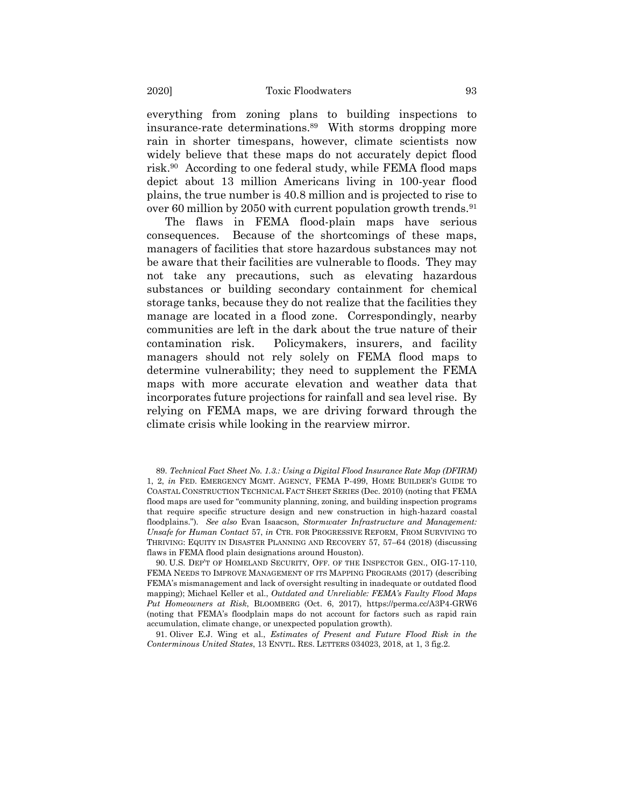everything from zoning plans to building inspections to insurance-rate determinations.<sup>89</sup> With storms dropping more rain in shorter timespans, however, climate scientists now widely believe that these maps do not accurately depict flood risk.<sup>90</sup> According to one federal study, while FEMA flood maps depict about 13 million Americans living in 100-year flood plains, the true number is 40.8 million and is projected to rise to over 60 million by 2050 with current population growth trends.  $91$ 

The flaws in FEMA flood-plain maps have serious consequences. Because of the shortcomings of these maps, managers of facilities that store hazardous substances may not be aware that their facilities are vulnerable to floods. They may not take any precautions, such as elevating hazardous substances or building secondary containment for chemical storage tanks, because they do not realize that the facilities they manage are located in a flood zone. Correspondingly, nearby communities are left in the dark about the true nature of their contamination risk. Policymakers, insurers, and facility managers should not rely solely on FEMA flood maps to determine vulnerability; they need to supplement the FEMA maps with more accurate elevation and weather data that incorporates future projections for rainfall and sea level rise. By relying on FEMA maps, we are driving forward through the climate crisis while looking in the rearview mirror.

91. Oliver E.J. Wing et al., *Estimates of Present and Future Flood Risk in the Conterminous United States*, 13 ENVTL. RES. LETTERS 034023, 2018, at 1, 3 fig.2.

<sup>89.</sup> *Technical Fact Sheet No. 1.3.: Using a Digital Flood Insurance Rate Map (DFIRM)* 1, 2, *in* FED. EMERGENCY MGMT. AGENCY, FEMA P-499, HOME BUILDER'S GUIDE TO COASTAL CONSTRUCTION TECHNICAL FACT SHEET SERIES (Dec. 2010) (noting that FEMA flood maps are used for "community planning, zoning, and building inspection programs that require specific structure design and new construction in high-hazard coastal floodplains."). *See also* Evan Isaacson, *Stormwater Infrastructure and Management: Unsafe for Human Contact* 57, *in* CTR. FOR PROGRESSIVE REFORM, FROM SURVIVING TO THRIVING: EQUITY IN DISASTER PLANNING AND RECOVERY 57, 57–64 (2018) (discussing flaws in FEMA flood plain designations around Houston).

<sup>90.</sup> U.S. DEP'T OF HOMELAND SECURITY, OFF. OF THE INSPECTOR GEN., OIG-17-110, FEMA NEEDS TO IMPROVE MANAGEMENT OF ITS MAPPING PROGRAMS (2017) (describing FEMA's mismanagement and lack of oversight resulting in inadequate or outdated flood mapping); Michael Keller et al., *Outdated and Unreliable: FEMA's Faulty Flood Maps Put Homeowners at Risk*, BLOOMBERG (Oct. 6, 2017), https://perma.cc/A3P4-GRW6 (noting that FEMA's floodplain maps do not account for factors such as rapid rain accumulation, climate change, or unexpected population growth).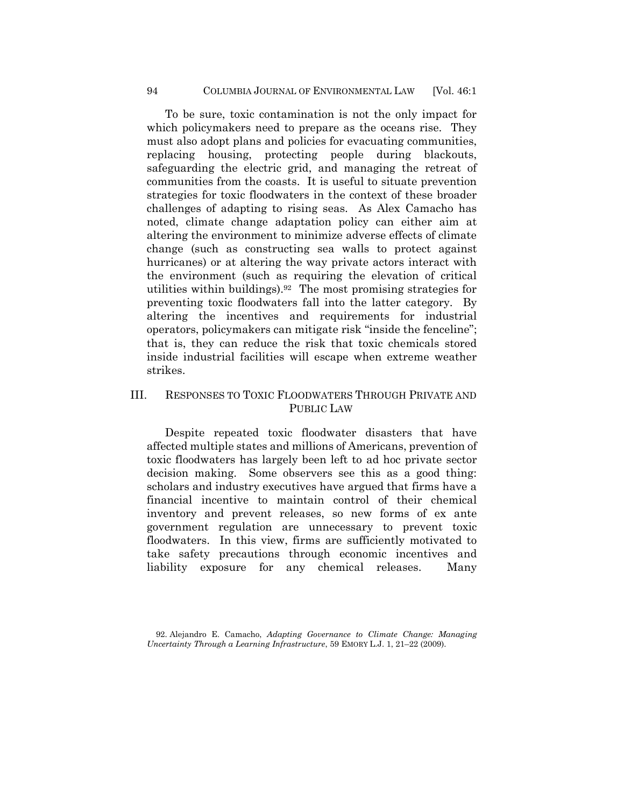To be sure, toxic contamination is not the only impact for which policymakers need to prepare as the oceans rise. They must also adopt plans and policies for evacuating communities, replacing housing, protecting people during blackouts, safeguarding the electric grid, and managing the retreat of communities from the coasts. It is useful to situate prevention strategies for toxic floodwaters in the context of these broader challenges of adapting to rising seas. As Alex Camacho has noted, climate change adaptation policy can either aim at altering the environment to minimize adverse effects of climate change (such as constructing sea walls to protect against hurricanes) or at altering the way private actors interact with the environment (such as requiring the elevation of critical utilities within buildings).<sup>92</sup> The most promising strategies for preventing toxic floodwaters fall into the latter category. By altering the incentives and requirements for industrial operators, policymakers can mitigate risk "inside the fenceline"; that is, they can reduce the risk that toxic chemicals stored inside industrial facilities will escape when extreme weather strikes.

# III. RESPONSES TO TOXIC FLOODWATERS THROUGH PRIVATE AND PUBLIC LAW

Despite repeated toxic floodwater disasters that have affected multiple states and millions of Americans, prevention of toxic floodwaters has largely been left to ad hoc private sector decision making. Some observers see this as a good thing: scholars and industry executives have argued that firms have a financial incentive to maintain control of their chemical inventory and prevent releases, so new forms of ex ante government regulation are unnecessary to prevent toxic floodwaters. In this view, firms are sufficiently motivated to take safety precautions through economic incentives and liability exposure for any chemical releases. Many

<sup>92.</sup> Alejandro E. Camacho, *Adapting Governance to Climate Change: Managing Uncertainty Through a Learning Infrastructure*, 59 EMORY L.J. 1, 21–22 (2009).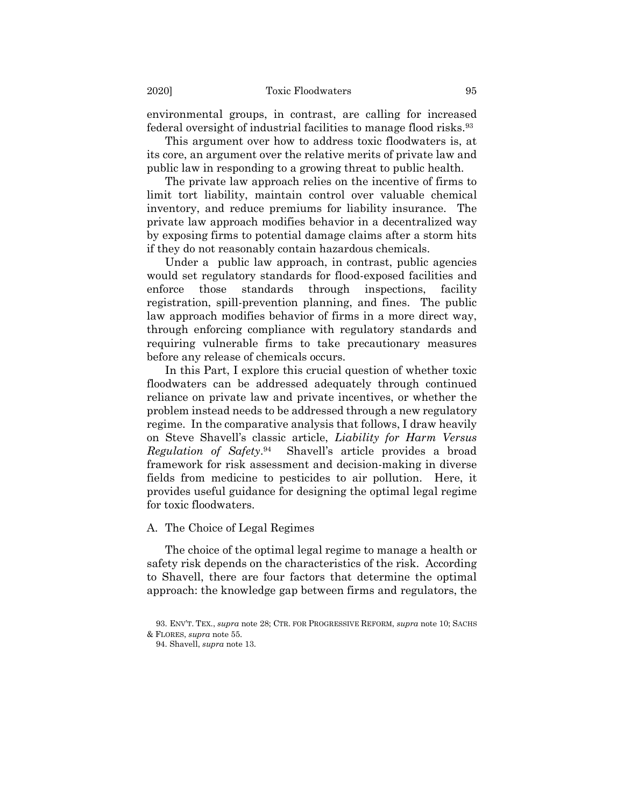environmental groups, in contrast, are calling for increased federal oversight of industrial facilities to manage flood risks.<sup>93</sup>

This argument over how to address toxic floodwaters is, at its core, an argument over the relative merits of private law and public law in responding to a growing threat to public health.

The private law approach relies on the incentive of firms to limit tort liability, maintain control over valuable chemical inventory, and reduce premiums for liability insurance. The private law approach modifies behavior in a decentralized way by exposing firms to potential damage claims after a storm hits if they do not reasonably contain hazardous chemicals.

Under a public law approach, in contrast, public agencies would set regulatory standards for flood-exposed facilities and enforce those standards through inspections, facility registration, spill-prevention planning, and fines. The public law approach modifies behavior of firms in a more direct way, through enforcing compliance with regulatory standards and requiring vulnerable firms to take precautionary measures before any release of chemicals occurs.

In this Part, I explore this crucial question of whether toxic floodwaters can be addressed adequately through continued reliance on private law and private incentives, or whether the problem instead needs to be addressed through a new regulatory regime. In the comparative analysis that follows, I draw heavily on Steve Shavell's classic article, *Liability for Harm Versus Regulation of Safety*. 94 Shavell's article provides a broad framework for risk assessment and decision-making in diverse fields from medicine to pesticides to air pollution. Here, it provides useful guidance for designing the optimal legal regime for toxic floodwaters.

#### A. The Choice of Legal Regimes

The choice of the optimal legal regime to manage a health or safety risk depends on the characteristics of the risk. According to Shavell, there are four factors that determine the optimal approach: the knowledge gap between firms and regulators, the

<sup>93.</sup> ENV'T. TEX., *supra* note [28;](#page-9-0) CTR. FOR PROGRESSIVE REFORM, *supra* note [10;](#page-3-1) SACHS & FLORES, *supra* not[e 55.](#page-13-0) 

<sup>94.</sup> Shavell, *supra* not[e 13.](#page-4-0)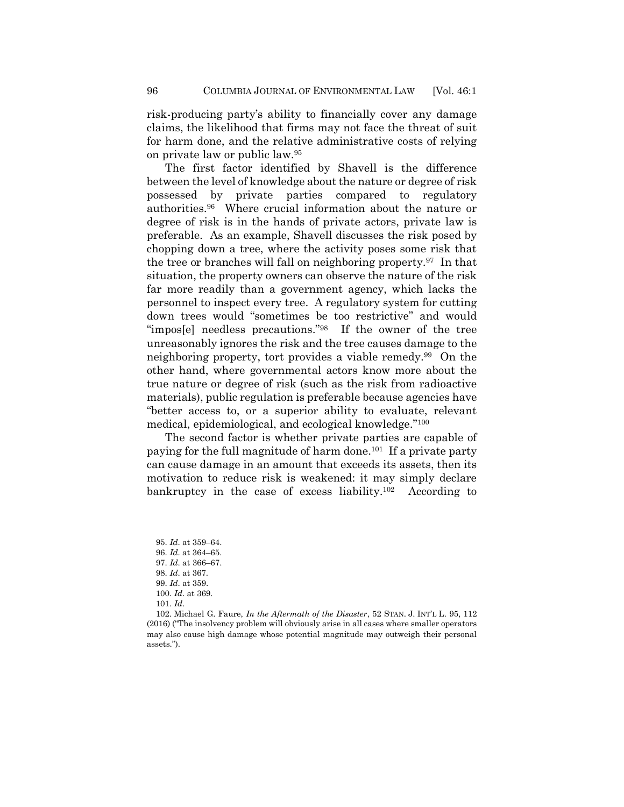risk-producing party's ability to financially cover any damage claims, the likelihood that firms may not face the threat of suit for harm done, and the relative administrative costs of relying on private law or public law.<sup>95</sup>

The first factor identified by Shavell is the difference between the level of knowledge about the nature or degree of risk possessed by private parties compared to regulatory authorities.<sup>96</sup> Where crucial information about the nature or degree of risk is in the hands of private actors, private law is preferable. As an example, Shavell discusses the risk posed by chopping down a tree, where the activity poses some risk that the tree or branches will fall on neighboring property.<sup>97</sup> In that situation, the property owners can observe the nature of the risk far more readily than a government agency, which lacks the personnel to inspect every tree. A regulatory system for cutting down trees would "sometimes be too restrictive" and would "impos[e] needless precautions."<sup>98</sup> If the owner of the tree unreasonably ignores the risk and the tree causes damage to the neighboring property, tort provides a viable remedy.<sup>99</sup> On the other hand, where governmental actors know more about the true nature or degree of risk (such as the risk from radioactive materials), public regulation is preferable because agencies have "better access to, or a superior ability to evaluate, relevant medical, epidemiological, and ecological knowledge."<sup>100</sup>

The second factor is whether private parties are capable of paying for the full magnitude of harm done.<sup>101</sup> If a private party can cause damage in an amount that exceeds its assets, then its motivation to reduce risk is weakened: it may simply declare bankruptcy in the case of excess liability.<sup>102</sup> According to

<span id="page-23-0"></span>95. *Id*. at 359–64. 96. *Id*. at 364–65. 97. *Id*. at 366–67. 98. *Id*. at 367. 99. *Id*. at 359. 100. *Id*. at 369. 101. *Id*.

102. Michael G. Faure, *In the Aftermath of the Disaster*, 52 STAN. J. INT'L L. 95, 112 (2016) ("The insolvency problem will obviously arise in all cases where smaller operators may also cause high damage whose potential magnitude may outweigh their personal assets.").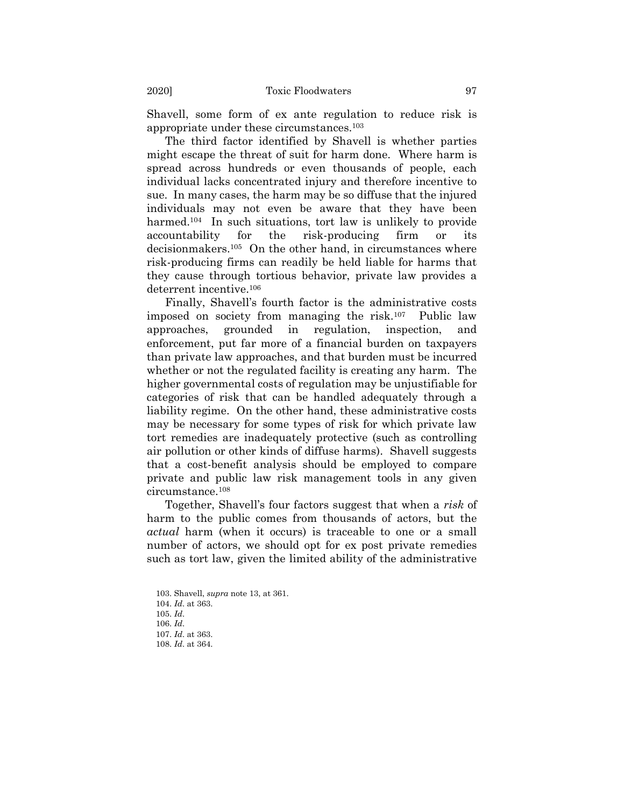Shavell, some form of ex ante regulation to reduce risk is appropriate under these circumstances.<sup>103</sup>

The third factor identified by Shavell is whether parties might escape the threat of suit for harm done. Where harm is spread across hundreds or even thousands of people, each individual lacks concentrated injury and therefore incentive to sue. In many cases, the harm may be so diffuse that the injured individuals may not even be aware that they have been harmed.<sup>104</sup> In such situations, tort law is unlikely to provide accountability for the risk-producing firm or its decisionmakers.<sup>105</sup> On the other hand, in circumstances where risk-producing firms can readily be held liable for harms that they cause through tortious behavior, private law provides a deterrent incentive.<sup>106</sup>

Finally, Shavell's fourth factor is the administrative costs imposed on society from managing the risk.<sup>107</sup> Public law approaches, grounded in regulation, inspection, and enforcement, put far more of a financial burden on taxpayers than private law approaches, and that burden must be incurred whether or not the regulated facility is creating any harm. The higher governmental costs of regulation may be unjustifiable for categories of risk that can be handled adequately through a liability regime. On the other hand, these administrative costs may be necessary for some types of risk for which private law tort remedies are inadequately protective (such as controlling air pollution or other kinds of diffuse harms). Shavell suggests that a cost-benefit analysis should be employed to compare private and public law risk management tools in any given circumstance.<sup>108</sup>

Together, Shavell's four factors suggest that when a *risk* of harm to the public comes from thousands of actors, but the *actual* harm (when it occurs) is traceable to one or a small number of actors, we should opt for ex post private remedies such as tort law, given the limited ability of the administrative

103. Shavell, *supra* not[e 13,](#page-4-0) at 361. 104. *Id*. at 363. 105. *Id*. 106. *Id*. 107. *Id*. at 363. 108. *Id*. at 364.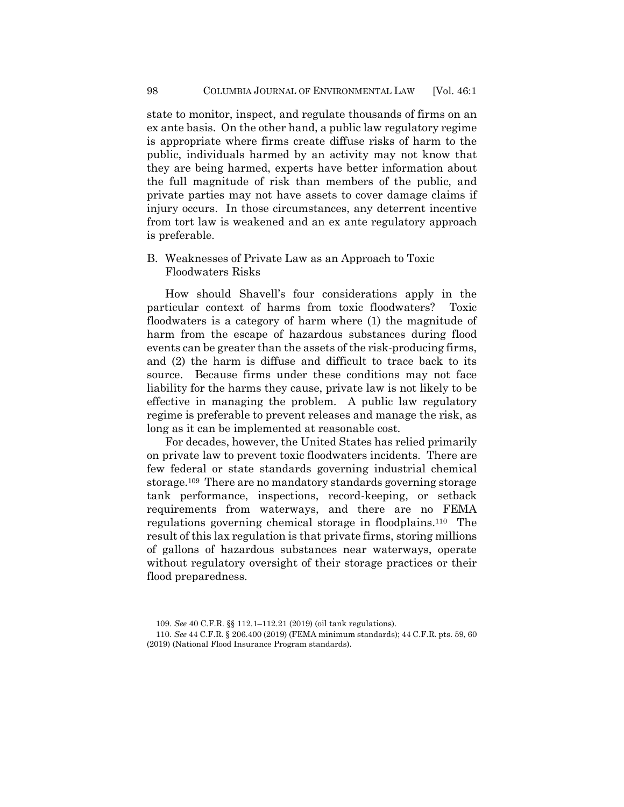state to monitor, inspect, and regulate thousands of firms on an ex ante basis. On the other hand, a public law regulatory regime is appropriate where firms create diffuse risks of harm to the public, individuals harmed by an activity may not know that they are being harmed, experts have better information about the full magnitude of risk than members of the public, and private parties may not have assets to cover damage claims if injury occurs. In those circumstances, any deterrent incentive from tort law is weakened and an ex ante regulatory approach is preferable.

B. Weaknesses of Private Law as an Approach to Toxic Floodwaters Risks

How should Shavell's four considerations apply in the particular context of harms from toxic floodwaters? Toxic floodwaters is a category of harm where (1) the magnitude of harm from the escape of hazardous substances during flood events can be greater than the assets of the risk-producing firms, and (2) the harm is diffuse and difficult to trace back to its source. Because firms under these conditions may not face liability for the harms they cause, private law is not likely to be effective in managing the problem. A public law regulatory regime is preferable to prevent releases and manage the risk, as long as it can be implemented at reasonable cost.

For decades, however, the United States has relied primarily on private law to prevent toxic floodwaters incidents. There are few federal or state standards governing industrial chemical storage.<sup>109</sup> There are no mandatory standards governing storage tank performance, inspections, record-keeping, or setback requirements from waterways, and there are no FEMA regulations governing chemical storage in floodplains.<sup>110</sup> The result of this lax regulation is that private firms, storing millions of gallons of hazardous substances near waterways, operate without regulatory oversight of their storage practices or their flood preparedness.

<sup>109.</sup> *See* 40 C.F.R. §§ 112.1–112.21 (2019) (oil tank regulations).

<sup>110.</sup> *See* 44 C.F.R. § 206.400 (2019) (FEMA minimum standards); 44 C.F.R. pts. 59, 60 (2019) (National Flood Insurance Program standards).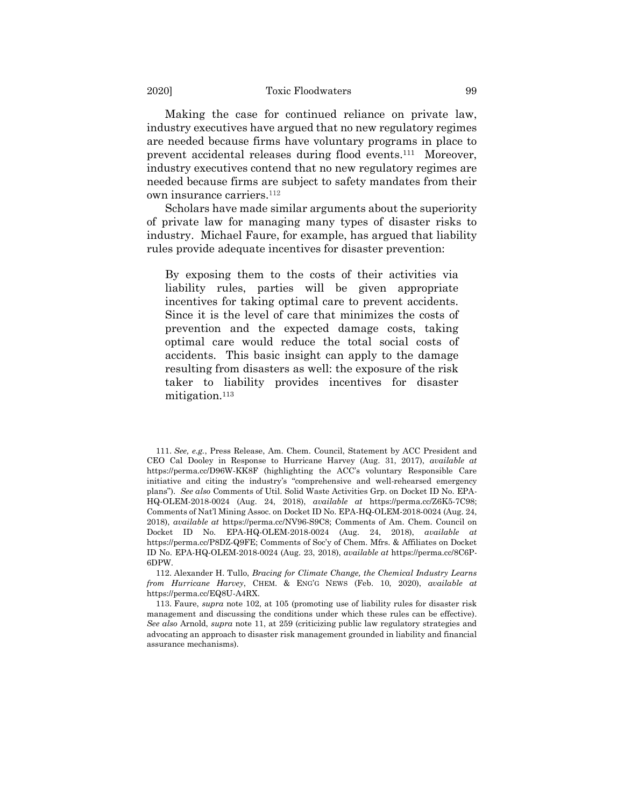Making the case for continued reliance on private law, industry executives have argued that no new regulatory regimes are needed because firms have voluntary programs in place to prevent accidental releases during flood events.<sup>111</sup> Moreover, industry executives contend that no new regulatory regimes are needed because firms are subject to safety mandates from their own insurance carriers.<sup>112</sup>

Scholars have made similar arguments about the superiority of private law for managing many types of disaster risks to industry. Michael Faure, for example, has argued that liability rules provide adequate incentives for disaster prevention:

By exposing them to the costs of their activities via liability rules, parties will be given appropriate incentives for taking optimal care to prevent accidents. Since it is the level of care that minimizes the costs of prevention and the expected damage costs, taking optimal care would reduce the total social costs of accidents. This basic insight can apply to the damage resulting from disasters as well: the exposure of the risk taker to liability provides incentives for disaster mitigation.<sup>113</sup>

112. Alexander H. Tullo, *Bracing for Climate Change, the Chemical Industry Learns from Hurricane Harvey*, CHEM. & ENG'G NEWS (Feb. 10, 2020), *available at*  https://perma.cc/EQ8U-A4RX.

113. Faure, *supra* note [102,](#page-23-0) at 105 (promoting use of liability rules for disaster risk management and discussing the conditions under which these rules can be effective). *See also* Arnold, *supra* note 11, at 259 (criticizing public law regulatory strategies and advocating an approach to disaster risk management grounded in liability and financial assurance mechanisms).

<sup>111.</sup> *See, e.g.*, Press Release, Am. Chem. Council, Statement by ACC President and CEO Cal Dooley in Response to Hurricane Harvey (Aug. 31, 2017), *available at*  https://perma.cc/D96W-KK8F (highlighting the ACC's voluntary Responsible Care initiative and citing the industry's "comprehensive and well-rehearsed emergency plans"). *See also* Comments of Util. Solid Waste Activities Grp. on Docket ID No. EPA-HQ-OLEM-2018-0024 (Aug. 24, 2018), *available at* https://perma.cc/Z6K5-7C98; Comments of Nat'l Mining Assoc. on Docket ID No. EPA-HQ-OLEM-2018-0024 (Aug. 24, 2018), *available at* https://perma.cc/NV96-S9C8; Comments of Am. Chem. Council on Docket ID No. EPA-HQ-OLEM-2018-0024 (Aug. 24, 2018), *available at*  https://perma.cc/P8DZ-Q9FE; Comments of Soc'y of Chem. Mfrs. & Affiliates on Docket ID No. EPA-HQ-OLEM-2018-0024 (Aug. 23, 2018), *available at* https://perma.cc/8C6P-6DPW.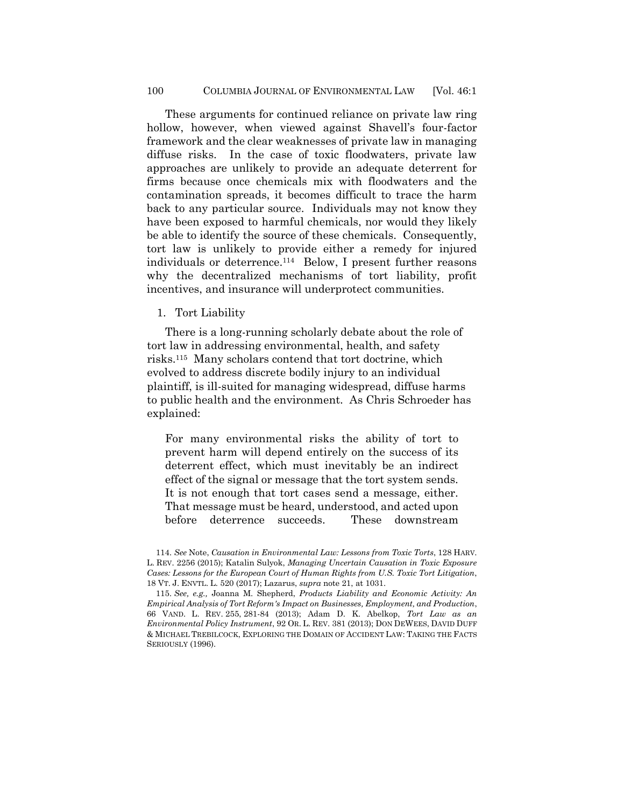These arguments for continued reliance on private law ring hollow, however, when viewed against Shavell's four-factor framework and the clear weaknesses of private law in managing diffuse risks. In the case of toxic floodwaters, private law approaches are unlikely to provide an adequate deterrent for firms because once chemicals mix with floodwaters and the contamination spreads, it becomes difficult to trace the harm back to any particular source. Individuals may not know they have been exposed to harmful chemicals, nor would they likely be able to identify the source of these chemicals. Consequently, tort law is unlikely to provide either a remedy for injured individuals or deterrence.<sup>114</sup> Below, I present further reasons why the decentralized mechanisms of tort liability, profit incentives, and insurance will underprotect communities.

1. Tort Liability

There is a long-running scholarly debate about the role of tort law in addressing environmental, health, and safety risks.<sup>115</sup> Many scholars contend that tort doctrine, which evolved to address discrete bodily injury to an individual plaintiff, is ill-suited for managing widespread, diffuse harms to public health and the environment. As Chris Schroeder has explained:

For many environmental risks the ability of tort to prevent harm will depend entirely on the success of its deterrent effect, which must inevitably be an indirect effect of the signal or message that the tort system sends. It is not enough that tort cases send a message, either. That message must be heard, understood, and acted upon before deterrence succeeds. These downstream

<sup>114.</sup> *See* Note, *Causation in Environmental Law: Lessons from Toxic Torts*, 128 HARV. L. REV. 2256 (2015); Katalin Sulyok, *Managing Uncertain Causation in Toxic Exposure Cases: Lessons for the European Court of Human Rights from U.S. Toxic Tort Litigation*, 18 VT. J. ENVTL. L. 520 (2017); Lazarus, *supra* not[e 21,](#page-7-0) at 1031.

<sup>115.</sup> *See, e.g.,* Joanna M. Shepherd, *Products Liability and Economic Activity: An Empirical Analysis of Tort Reform's Impact on Businesses, Employment, and Production*, 66 VAND. L. REV. 255, 281-84 (2013); Adam D. K. Abelkop, *Tort Law as an Environmental Policy Instrument*, 92 OR. L. REV. 381 (2013); DON DEWEES, DAVID DUFF & MICHAEL TREBILCOCK, EXPLORING THE DOMAIN OF ACCIDENT LAW: TAKING THE FACTS SERIOUSLY (1996).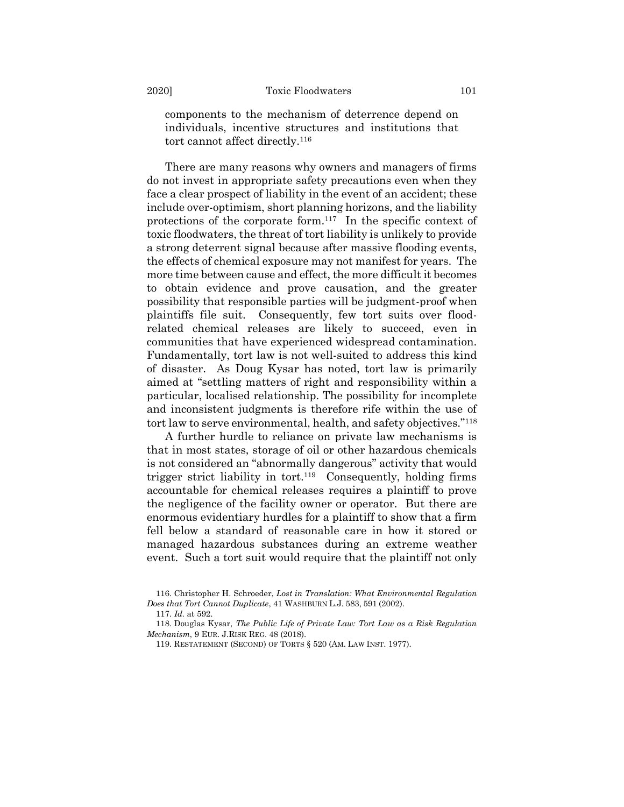components to the mechanism of deterrence depend on individuals, incentive structures and institutions that tort cannot affect directly.<sup>116</sup>

There are many reasons why owners and managers of firms do not invest in appropriate safety precautions even when they face a clear prospect of liability in the event of an accident; these include over-optimism, short planning horizons, and the liability protections of the corporate form.<sup>117</sup> In the specific context of toxic floodwaters, the threat of tort liability is unlikely to provide a strong deterrent signal because after massive flooding events, the effects of chemical exposure may not manifest for years. The more time between cause and effect, the more difficult it becomes to obtain evidence and prove causation, and the greater possibility that responsible parties will be judgment-proof when plaintiffs file suit. Consequently, few tort suits over floodrelated chemical releases are likely to succeed, even in communities that have experienced widespread contamination. Fundamentally, tort law is not well-suited to address this kind of disaster. As Doug Kysar has noted, tort law is primarily aimed at "settling matters of right and responsibility within a particular, localised relationship. The possibility for incomplete and inconsistent judgments is therefore rife within the use of tort law to serve environmental, health, and safety objectives."<sup>118</sup>

A further hurdle to reliance on private law mechanisms is that in most states, storage of oil or other hazardous chemicals is not considered an "abnormally dangerous" activity that would trigger strict liability in tort.<sup>119</sup> Consequently, holding firms accountable for chemical releases requires a plaintiff to prove the negligence of the facility owner or operator. But there are enormous evidentiary hurdles for a plaintiff to show that a firm fell below a standard of reasonable care in how it stored or managed hazardous substances during an extreme weather event. Such a tort suit would require that the plaintiff not only

<sup>116.</sup> Christopher H. Schroeder, *Lost in Translation: What Environmental Regulation Does that Tort Cannot Duplicate*, 41 WASHBURN L.J. 583, 591 (2002).

<sup>117.</sup> *Id.* at 592.

<sup>118.</sup> Douglas Kysar, *The Public Life of Private Law: Tort Law as a Risk Regulation Mechanism*, 9 EUR. J.RISK REG. 48 (2018).

<sup>119.</sup> RESTATEMENT (SECOND) OF TORTS § 520 (AM. LAW INST. 1977).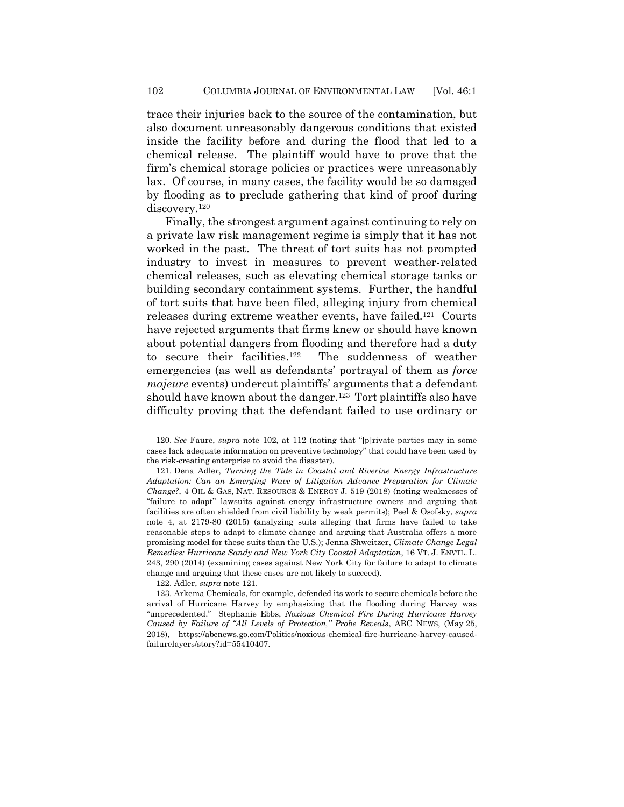trace their injuries back to the source of the contamination, but also document unreasonably dangerous conditions that existed inside the facility before and during the flood that led to a chemical release. The plaintiff would have to prove that the firm's chemical storage policies or practices were unreasonably lax. Of course, in many cases, the facility would be so damaged by flooding as to preclude gathering that kind of proof during discovery.<sup>120</sup>

<span id="page-29-0"></span>Finally, the strongest argument against continuing to rely on a private law risk management regime is simply that it has not worked in the past. The threat of tort suits has not prompted industry to invest in measures to prevent weather-related chemical releases, such as elevating chemical storage tanks or building secondary containment systems. Further, the handful of tort suits that have been filed, alleging injury from chemical releases during extreme weather events, have failed.<sup>121</sup> Courts have rejected arguments that firms knew or should have known about potential dangers from flooding and therefore had a duty to secure their facilities. 122 The suddenness of weather emergencies (as well as defendants' portrayal of them as *force majeure* events) undercut plaintiffs' arguments that a defendant should have known about the danger.<sup>123</sup> Tort plaintiffs also have difficulty proving that the defendant failed to use ordinary or

120. *See* Faure, *supra* note [102](#page-23-0), at 112 (noting that "[p]rivate parties may in some cases lack adequate information on preventive technology" that could have been used by the risk-creating enterprise to avoid the disaster).

121. Dena Adler, *Turning the Tide in Coastal and Riverine Energy Infrastructure Adaptation: Can an Emerging Wave of Litigation Advance Preparation for Climate Change?*, 4 OIL & GAS, NAT. RESOURCE & ENERGY J. 519 (2018) (noting weaknesses of "failure to adapt" lawsuits against energy infrastructure owners and arguing that facilities are often shielded from civil liability by weak permits); Peel & Osofsky, *supra*  note 4, at 2179-80 (2015) (analyzing suits alleging that firms have failed to take reasonable steps to adapt to climate change and arguing that Australia offers a more promising model for these suits than the U.S.); Jenna Shweitzer, *Climate Change Legal Remedies: Hurricane Sandy and New York City Coastal Adaptation*, 16 VT. J. ENVTL. L. 243, 290 (2014) (examining cases against New York City for failure to adapt to climate change and arguing that these cases are not likely to succeed).

122. Adler, *supra* not[e 121.](#page-29-0)

123. Arkema Chemicals, for example, defended its work to secure chemicals before the arrival of Hurricane Harvey by emphasizing that the flooding during Harvey was "unprecedented." Stephanie Ebbs, *Noxious Chemical Fire During Hurricane Harvey Caused by Failure of "All Levels of Protection," Probe Reveals*, ABC NEWS, (May 25, 2018), https://abcnews.go.com/Politics/noxious-chemical-fire-hurricane-harvey-causedfailurelayers/story?id=55410407.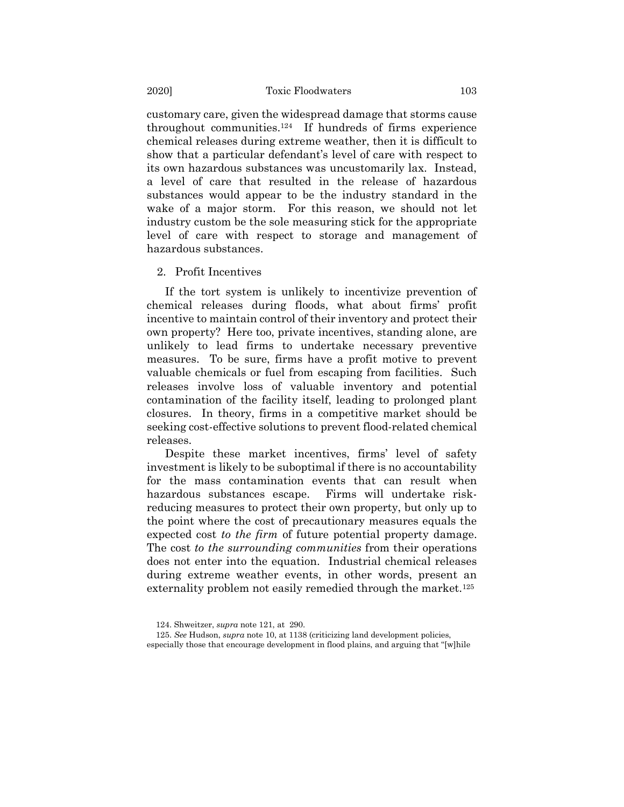customary care, given the widespread damage that storms cause throughout communities.<sup>124</sup> If hundreds of firms experience chemical releases during extreme weather, then it is difficult to show that a particular defendant's level of care with respect to its own hazardous substances was uncustomarily lax. Instead, a level of care that resulted in the release of hazardous substances would appear to be the industry standard in the wake of a major storm. For this reason, we should not let industry custom be the sole measuring stick for the appropriate level of care with respect to storage and management of hazardous substances.

#### 2. Profit Incentives

If the tort system is unlikely to incentivize prevention of chemical releases during floods, what about firms' profit incentive to maintain control of their inventory and protect their own property? Here too, private incentives, standing alone, are unlikely to lead firms to undertake necessary preventive measures. To be sure, firms have a profit motive to prevent valuable chemicals or fuel from escaping from facilities. Such releases involve loss of valuable inventory and potential contamination of the facility itself, leading to prolonged plant closures. In theory, firms in a competitive market should be seeking cost-effective solutions to prevent flood-related chemical releases.

Despite these market incentives, firms' level of safety investment is likely to be suboptimal if there is no accountability for the mass contamination events that can result when hazardous substances escape. Firms will undertake riskreducing measures to protect their own property, but only up to the point where the cost of precautionary measures equals the expected cost *to the firm* of future potential property damage. The cost *to the surrounding communities* from their operations does not enter into the equation. Industrial chemical releases during extreme weather events, in other words, present an externality problem not easily remedied through the market.<sup>125</sup>

<sup>124.</sup> Shweitzer, *supra* note [121,](#page-29-0) at 290.

<sup>125.</sup> *See* Hudson, *supra* not[e 10,](#page-3-1) at 1138 (criticizing land development policies, especially those that encourage development in flood plains, and arguing that "[w]hile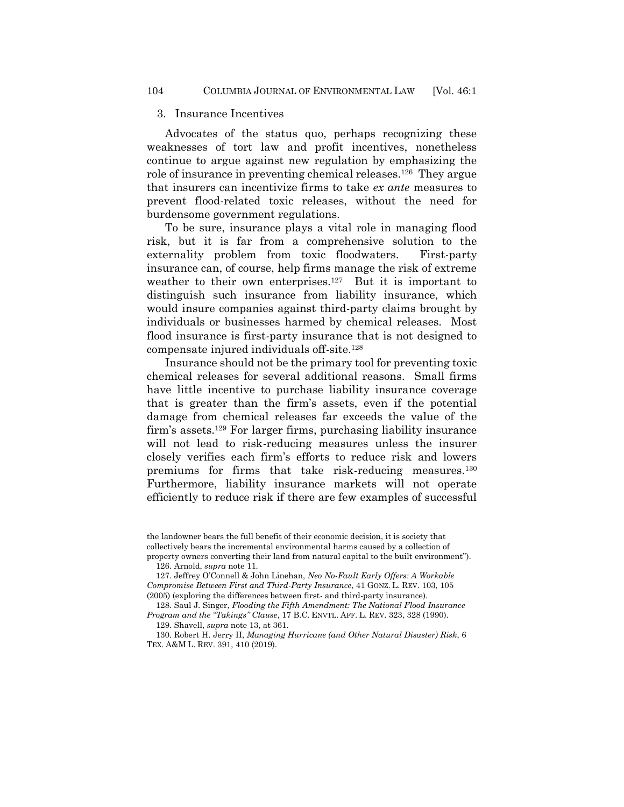#### 3. Insurance Incentives

Advocates of the status quo, perhaps recognizing these weaknesses of tort law and profit incentives, nonetheless continue to argue against new regulation by emphasizing the role of insurance in preventing chemical releases.<sup>126</sup> They argue that insurers can incentivize firms to take *ex ante* measures to prevent flood-related toxic releases, without the need for burdensome government regulations.

To be sure, insurance plays a vital role in managing flood risk, but it is far from a comprehensive solution to the externality problem from toxic floodwaters. First-party insurance can, of course, help firms manage the risk of extreme weather to their own enterprises.<sup>127</sup> But it is important to distinguish such insurance from liability insurance, which would insure companies against third-party claims brought by individuals or businesses harmed by chemical releases. Most flood insurance is first-party insurance that is not designed to compensate injured individuals off-site.<sup>128</sup>

Insurance should not be the primary tool for preventing toxic chemical releases for several additional reasons. Small firms have little incentive to purchase liability insurance coverage that is greater than the firm's assets, even if the potential damage from chemical releases far exceeds the value of the firm's assets.<sup>129</sup> For larger firms, purchasing liability insurance will not lead to risk-reducing measures unless the insurer closely verifies each firm's efforts to reduce risk and lowers premiums for firms that take risk-reducing measures.<sup>130</sup> Furthermore, liability insurance markets will not operate efficiently to reduce risk if there are few examples of successful

the landowner bears the full benefit of their economic decision, it is society that collectively bears the incremental environmental harms caused by a collection of property owners converting their land from natural capital to the built environment").

<span id="page-31-0"></span>126. Arnold, *supra* note 11.

127. Jeffrey O'Connell & John Linehan, *Neo No-Fault Early Offers: A Workable Compromise Between First and Third-Party Insurance*, 41 GONZ. L. REV. 103, 105 (2005) (exploring the differences between first- and third-party insurance).

128. Saul J. Singer, *Flooding the Fifth Amendment: The National Flood Insurance Program and the "Takings" Clause*, 17 B.C. ENVTL. AFF. L. REV. 323, 328 (1990).

129. Shavell, *supra* not[e 13,](#page-4-0) at 361.

130. Robert H. Jerry II, *Managing Hurricane (and Other Natural Disaster) Risk*, 6 TEX. A&M L. REV. 391, 410 (2019).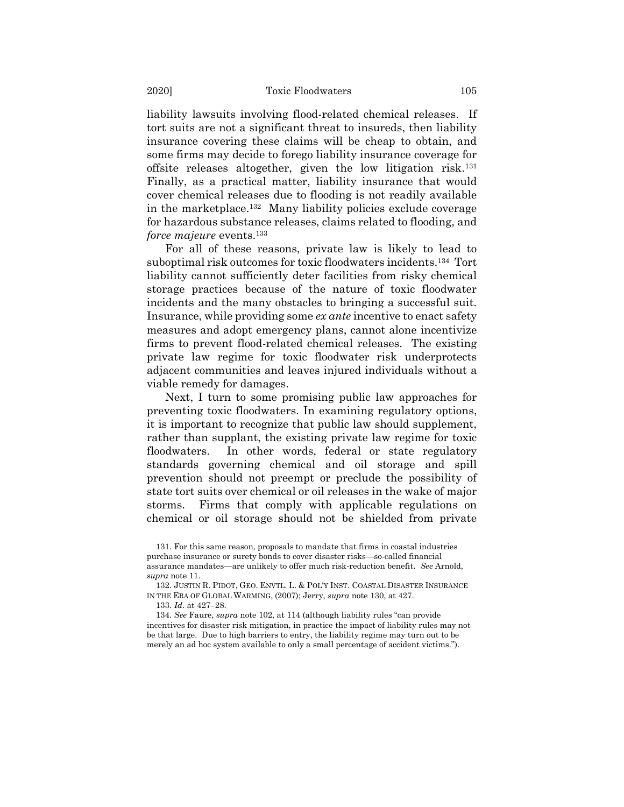liability lawsuits involving flood-related chemical releases. If tort suits are not a significant threat to insureds, then liability insurance covering these claims will be cheap to obtain, and some firms may decide to forego liability insurance coverage for offsite releases altogether, given the low litigation risk.<sup>131</sup> Finally, as a practical matter, liability insurance that would cover chemical releases due to flooding is not readily available in the marketplace.<sup>132</sup> Many liability policies exclude coverage for hazardous substance releases, claims related to flooding, and *force majeure* events.<sup>133</sup>

For all of these reasons, private law is likely to lead to suboptimal risk outcomes for toxic floodwaters incidents.<sup>134</sup> Tort liability cannot sufficiently deter facilities from risky chemical storage practices because of the nature of toxic floodwater incidents and the many obstacles to bringing a successful suit. Insurance, while providing some *ex ante* incentive to enact safety measures and adopt emergency plans, cannot alone incentivize firms to prevent flood-related chemical releases. The existing private law regime for toxic floodwater risk underprotects adjacent communities and leaves injured individuals without a viable remedy for damages.

Next, I turn to some promising public law approaches for preventing toxic floodwaters. In examining regulatory options, it is important to recognize that public law should supplement, rather than supplant, the existing private law regime for toxic floodwaters. In other words, federal or state regulatory standards governing chemical and oil storage and spill prevention should not preempt or preclude the possibility of state tort suits over chemical or oil releases in the wake of major storms. Firms that comply with applicable regulations on chemical or oil storage should not be shielded from private

132. JUSTIN R. PIDOT, GEO. ENVTL. L. & POL'Y INST. COASTAL DISASTER INSURANCE IN THE ERA OF GLOBAL WARMING, (2007); Jerry, *supra* not[e 130,](#page-31-0) at 427.

133. *Id*. at 427–28.

134. *See* Faure, *supra* not[e 102](#page-23-0), at 114 (although liability rules "can provide incentives for disaster risk mitigation, in practice the impact of liability rules may not be that large. Due to high barriers to entry, the liability regime may turn out to be merely an ad hoc system available to only a small percentage of accident victims.").

<sup>131.</sup> For this same reason, proposals to mandate that firms in coastal industries purchase insurance or surety bonds to cover disaster risks—so-called financial assurance mandates—are unlikely to offer much risk-reduction benefit. *See* Arnold, *supra* note 11.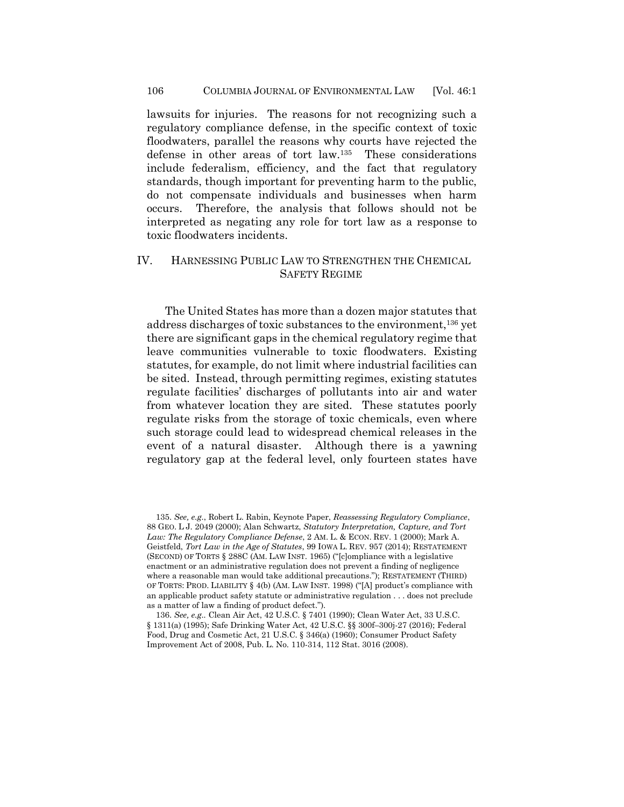lawsuits for injuries. The reasons for not recognizing such a regulatory compliance defense, in the specific context of toxic floodwaters, parallel the reasons why courts have rejected the defense in other areas of tort law.<sup>135</sup> These considerations include federalism, efficiency, and the fact that regulatory standards, though important for preventing harm to the public, do not compensate individuals and businesses when harm occurs. Therefore, the analysis that follows should not be interpreted as negating any role for tort law as a response to toxic floodwaters incidents.

## IV. HARNESSING PUBLIC LAW TO STRENGTHEN THE CHEMICAL SAFETY REGIME

The United States has more than a dozen major statutes that address discharges of toxic substances to the environment,<sup>136</sup> yet there are significant gaps in the chemical regulatory regime that leave communities vulnerable to toxic floodwaters. Existing statutes, for example, do not limit where industrial facilities can be sited. Instead, through permitting regimes, existing statutes regulate facilities' discharges of pollutants into air and water from whatever location they are sited. These statutes poorly regulate risks from the storage of toxic chemicals, even where such storage could lead to widespread chemical releases in the event of a natural disaster. Although there is a yawning regulatory gap at the federal level, only fourteen states have

<sup>135.</sup> *See, e.g.*, Robert L. Rabin, Keynote Paper, *Reassessing Regulatory Compliance*, 88 GEO. L J. 2049 (2000); Alan Schwartz, *Statutory Interpretation, Capture, and Tort Law: The Regulatory Compliance Defense*, 2 AM. L. & ECON. REV. 1 (2000); Mark A. Geistfeld, *Tort Law in the Age of Statutes*, 99 IOWA L. REV. 957 (2014); RESTATEMENT (SECOND) OF TORTS § 288C (AM. LAW INST. 1965) ("[c]ompliance with a legislative enactment or an administrative regulation does not prevent a finding of negligence where a reasonable man would take additional precautions."); RESTATEMENT (THIRD) OF TORTS: PROD. LIABILITY § 4(b) (AM. LAW INST. 1998) ("[A] product's compliance with an applicable product safety statute or administrative regulation . . . does not preclude as a matter of law a finding of product defect.").

<sup>136.</sup> *See, e.g..* Clean Air Act, 42 U.S.C. § 7401 (1990); Clean Water Act, 33 U.S.C. § 1311(a) (1995); Safe Drinking Water Act, 42 U.S.C. §§ 300f–300j-27 (2016); Federal Food, Drug and Cosmetic Act, 21 U.S.C. § 346(a) (1960); Consumer Product Safety Improvement Act of 2008, Pub. L. No. 110-314, 112 Stat. 3016 (2008).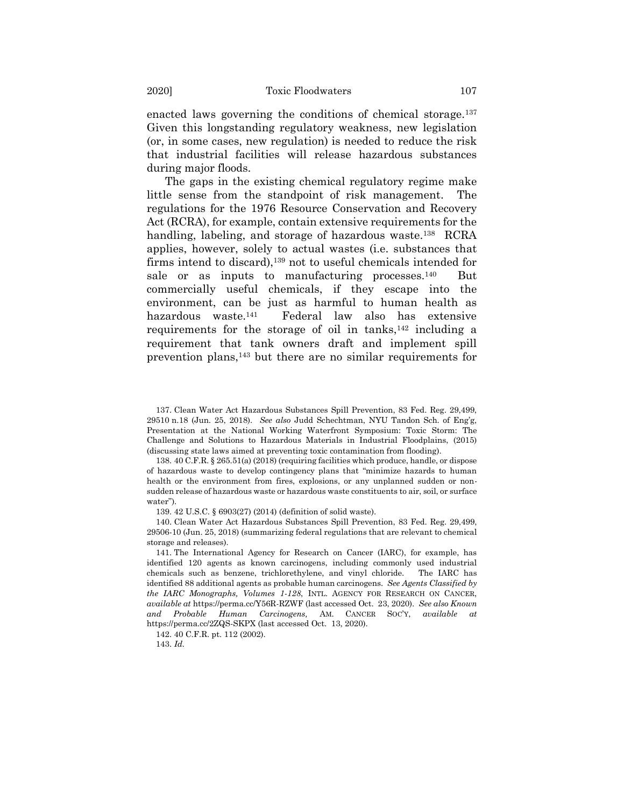<span id="page-34-1"></span>enacted laws governing the conditions of chemical storage.<sup>137</sup> Given this longstanding regulatory weakness, new legislation (or, in some cases, new regulation) is needed to reduce the risk that industrial facilities will release hazardous substances during major floods.

The gaps in the existing chemical regulatory regime make little sense from the standpoint of risk management. The regulations for the 1976 Resource Conservation and Recovery Act (RCRA), for example, contain extensive requirements for the handling, labeling, and storage of hazardous waste.<sup>138</sup> RCRA applies, however, solely to actual wastes (i.e. substances that firms intend to discard),<sup>139</sup> not to useful chemicals intended for sale or as inputs to manufacturing processes. $140$  But commercially useful chemicals, if they escape into the environment, can be just as harmful to human health as hazardous waste.<sup>141</sup> Federal law also has extensive requirements for the storage of oil in tanks, $142$  including a requirement that tank owners draft and implement spill prevention plans,<sup>143</sup> but there are no similar requirements for

139. 42 U.S.C. § 6903(27) (2014) (definition of solid waste).

140. Clean Water Act Hazardous Substances Spill Prevention, 83 Fed. Reg. 29,499, 29506-10 (Jun. 25, 2018) (summarizing federal regulations that are relevant to chemical storage and releases).

141. The International Agency for Research on Cancer (IARC), for example, has identified 120 agents as known carcinogens, including commonly used industrial chemicals such as benzene, trichlorethylene, and vinyl chloride. The IARC has identified 88 additional agents as probable human carcinogens. *See Agents Classified by the IARC Monographs, Volumes 1-128*, INTL. AGENCY FOR RESEARCH ON CANCER, *available at* https://perma.cc/Y56R-RZWF (last accessed Oct. 23, 2020). *See also Known and Probable Human Carcinogens,* AM. CANCER SOC'Y, *available at*  https://perma.cc/2ZQS-SKPX (last accessed Oct. 13, 2020).

142. 40 C.F.R. pt. 112 (2002).

143. *Id.*

<span id="page-34-0"></span><sup>137.</sup> Clean Water Act Hazardous Substances Spill Prevention, 83 Fed. Reg. 29,499, 29510 n.18 (Jun. 25, 2018). *See also* Judd Schechtman, NYU Tandon Sch. of Eng'g, Presentation at the National Working Waterfront Symposium: Toxic Storm: The Challenge and Solutions to Hazardous Materials in Industrial Floodplains, (2015) (discussing state laws aimed at preventing toxic contamination from flooding).

<sup>138.</sup> 40 C.F.R. § 265.51(a) (2018) (requiring facilities which produce, handle, or dispose of hazardous waste to develop contingency plans that "minimize hazards to human health or the environment from fires, explosions, or any unplanned sudden or nonsudden release of hazardous waste or hazardous waste constituents to air, soil, or surface water").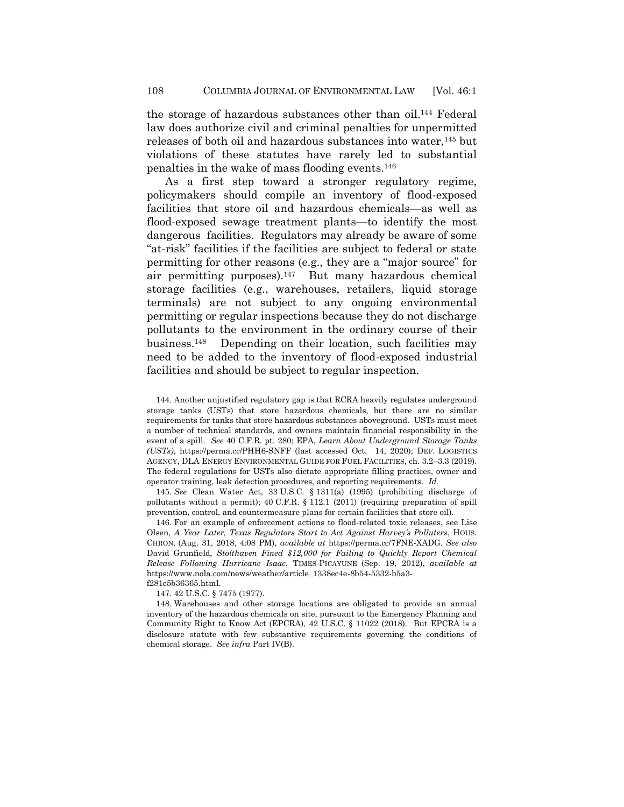the storage of hazardous substances other than oil.<sup>144</sup> Federal law does authorize civil and criminal penalties for unpermitted releases of both oil and hazardous substances into water,<sup>145</sup> but violations of these statutes have rarely led to substantial penalties in the wake of mass flooding events.<sup>146</sup>

As a first step toward a stronger regulatory regime, policymakers should compile an inventory of flood-exposed facilities that store oil and hazardous chemicals—as well as flood-exposed sewage treatment plants—to identify the most dangerous facilities. Regulators may already be aware of some "at-risk" facilities if the facilities are subject to federal or state permitting for other reasons (e.g., they are a "major source" for air permitting purposes).<sup>147</sup> But many hazardous chemical storage facilities (e.g., warehouses, retailers, liquid storage terminals) are not subject to any ongoing environmental permitting or regular inspections because they do not discharge pollutants to the environment in the ordinary course of their business.<sup>148</sup> Depending on their location, such facilities may need to be added to the inventory of flood-exposed industrial facilities and should be subject to regular inspection.

144. Another unjustified regulatory gap is that RCRA heavily regulates underground storage tanks (USTs) that store hazardous chemicals, but there are no similar requirements for tanks that store hazardous substances aboveground. USTs must meet a number of technical standards, and owners maintain financial responsibility in the event of a spill. *See* 40 C.F.R. pt. 280; EPA, *Learn About Underground Storage Tanks (USTs)*, https://perma.cc/PHH6-SNFF (last accessed Oct. 14, 2020); DEF. LOGISTICS AGENCY, DLA ENERGY ENVIRONMENTAL GUIDE FOR FUEL FACILITIES, ch. 3.2–3.3 (2019). The federal regulations for USTs also dictate appropriate filling practices, owner and operator training, leak detection procedures, and reporting requirements. *Id.*

145. *See* Clean Water Act, 33 U.S.C. § 1311(a) (1995) (prohibiting discharge of pollutants without a permit); 40 C.F.R. § 112.1 (2011) (requiring preparation of spill prevention, control, and countermeasure plans for certain facilities that store oil).

146. For an example of enforcement actions to flood-related toxic releases, see Lise Olsen, *A Year Later, Texas Regulators Start to Act Against Harvey's Polluters*, HOUS. CHRON. (Aug. 31, 2018, 4:08 PM), *available at* https://perma.cc/7FNE-XADG. *See also* David Grunfield, *Stolthaven Fined \$12,000 for Failing to Quickly Report Chemical Release Following Hurricane Isaac*, TIMES-PICAYUNE (Sep. 19, 2012), *available at* https://www.nola.com/news/weather/article\_1338ec4e-8b54-5332-b5a3 f281c5b36365.html.

147. 42 U.S.C. § 7475 (1977).

148. Warehouses and other storage locations are obligated to provide an annual inventory of the hazardous chemicals on site, pursuant to the Emergency Planning and Community Right to Know Act (EPCRA), 42 U.S.C. § 11022 (2018). But EPCRA is a disclosure statute with few substantive requirements governing the conditions of chemical storage. *See infra* Part IV(B).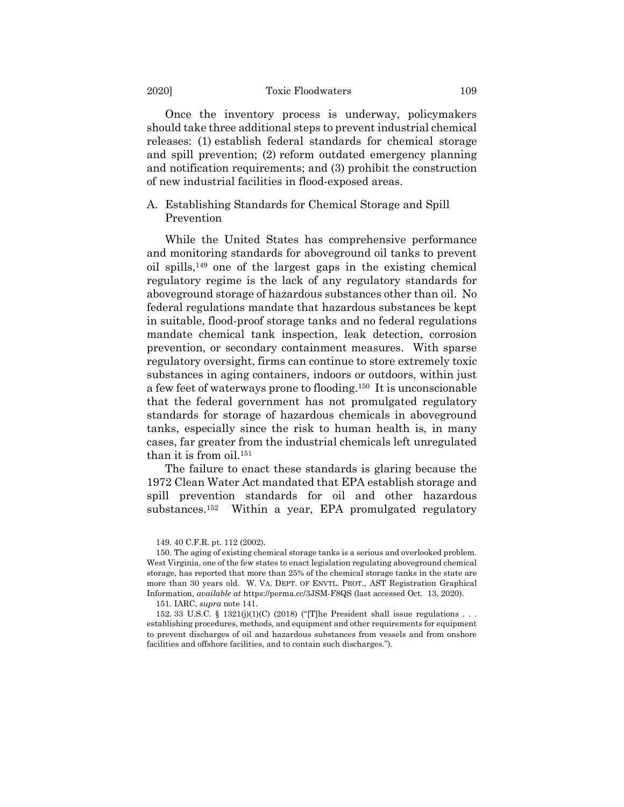### 2020] Toxic Floodwaters 109

Once the inventory process is underway, policymakers should take three additional steps to prevent industrial chemical releases: (1) establish federal standards for chemical storage and spill prevention; (2) reform outdated emergency planning and notification requirements; and (3) prohibit the construction of new industrial facilities in flood-exposed areas.

A. Establishing Standards for Chemical Storage and Spill Prevention

While the United States has comprehensive performance and monitoring standards for aboveground oil tanks to prevent oil spills,<sup>149</sup> one of the largest gaps in the existing chemical regulatory regime is the lack of any regulatory standards for aboveground storage of hazardous substances other than oil. No federal regulations mandate that hazardous substances be kept in suitable, flood-proof storage tanks and no federal regulations mandate chemical tank inspection, leak detection, corrosion prevention, or secondary containment measures. With sparse regulatory oversight, firms can continue to store extremely toxic substances in aging containers, indoors or outdoors, within just a few feet of waterways prone to flooding.<sup>150</sup> It is unconscionable that the federal government has not promulgated regulatory standards for storage of hazardous chemicals in aboveground tanks, especially since the risk to human health is, in many cases, far greater from the industrial chemicals left unregulated than it is from oil.<sup>151</sup>

The failure to enact these standards is glaring because the 1972 Clean Water Act mandated that EPA establish storage and spill prevention standards for oil and other hazardous substances.<sup>152</sup> Within a year, EPA promulgated regulatory

<sup>149.</sup> 40 C.F.R. pt. 112 (2002).

<sup>150.</sup> The aging of existing chemical storage tanks is a serious and overlooked problem. West Virginia, one of the few states to enact legislation regulating aboveground chemical storage, has reported that more than 25% of the chemical storage tanks in the state are more than 30 years old. W. VA. DEPT. OF ENVTL. PROT., AST Registration Graphical Information, *available at* https://perma.cc/3JSM-F8QS (last accessed Oct. 13, 2020).

<sup>151.</sup> IARC, *supra* not[e 141.](#page-34-0)

<sup>152. 33</sup> U.S.C. § 1321(j)(1)(C) (2018) ("The President shall issue regulations . . . establishing procedures, methods, and equipment and other requirements for equipment to prevent discharges of oil and hazardous substances from vessels and from onshore facilities and offshore facilities, and to contain such discharges.").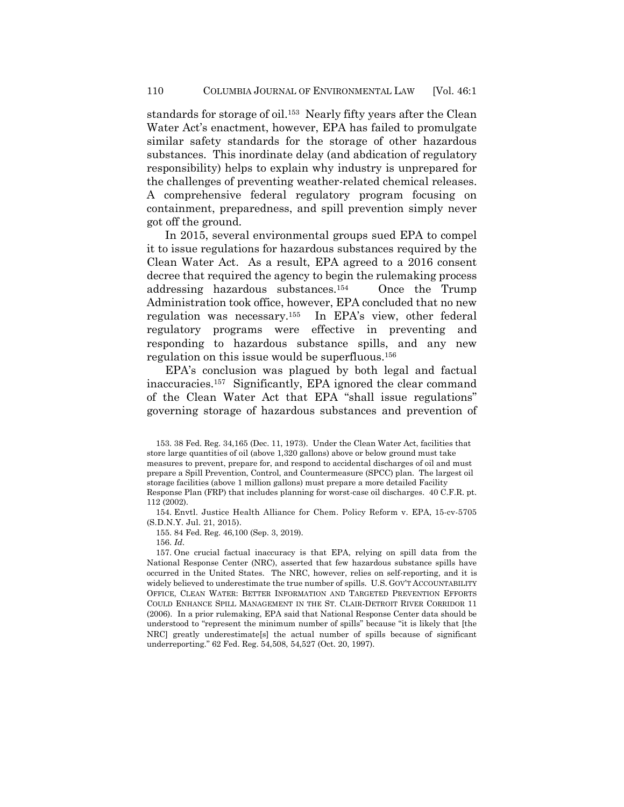standards for storage of oil.<sup>153</sup> Nearly fifty years after the Clean Water Act's enactment, however, EPA has failed to promulgate similar safety standards for the storage of other hazardous substances. This inordinate delay (and abdication of regulatory responsibility) helps to explain why industry is unprepared for the challenges of preventing weather-related chemical releases. A comprehensive federal regulatory program focusing on containment, preparedness, and spill prevention simply never got off the ground.

In 2015, several environmental groups sued EPA to compel it to issue regulations for hazardous substances required by the Clean Water Act. As a result, EPA agreed to a 2016 consent decree that required the agency to begin the rulemaking process addressing hazardous substances.<sup>154</sup> Once the Trump Administration took office, however, EPA concluded that no new regulation was necessary.<sup>155</sup> In EPA's view, other federal regulatory programs were effective in preventing and responding to hazardous substance spills, and any new regulation on this issue would be superfluous.<sup>156</sup>

EPA's conclusion was plagued by both legal and factual inaccuracies.<sup>157</sup> Significantly, EPA ignored the clear command of the Clean Water Act that EPA "shall issue regulations" governing storage of hazardous substances and prevention of

154. Envtl. Justice Health Alliance for Chem. Policy Reform v. EPA, 15-cv-5705 (S.D.N.Y. Jul. 21, 2015).

155. 84 Fed. Reg. 46,100 (Sep. 3, 2019).

156. *Id*.

157. One crucial factual inaccuracy is that EPA, relying on spill data from the National Response Center (NRC), asserted that few hazardous substance spills have occurred in the United States. The NRC, however, relies on self-reporting, and it is widely believed to underestimate the true number of spills. U.S. GOV'T ACCOUNTABILITY OFFICE, CLEAN WATER: BETTER INFORMATION AND TARGETED PREVENTION EFFORTS COULD ENHANCE SPILL MANAGEMENT IN THE ST. CLAIR-DETROIT RIVER CORRIDOR 11 (2006). In a prior rulemaking, EPA said that National Response Center data should be understood to "represent the minimum number of spills" because "it is likely that [the NRC] greatly underestimate[s] the actual number of spills because of significant underreporting." 62 Fed. Reg. 54,508, 54,527 (Oct. 20, 1997).

<sup>153.</sup> 38 Fed. Reg. 34,165 (Dec. 11, 1973). Under the Clean Water Act, facilities that store large quantities of oil (above 1,320 gallons) above or below ground must take measures to prevent, prepare for, and respond to accidental discharges of oil and must prepare a Spill Prevention, Control, and Countermeasure (SPCC) plan. The largest oil storage facilities (above 1 million gallons) must prepare a more detailed Facility Response Plan (FRP) that includes planning for worst-case oil discharges. 40 C.F.R. pt. 112 (2002).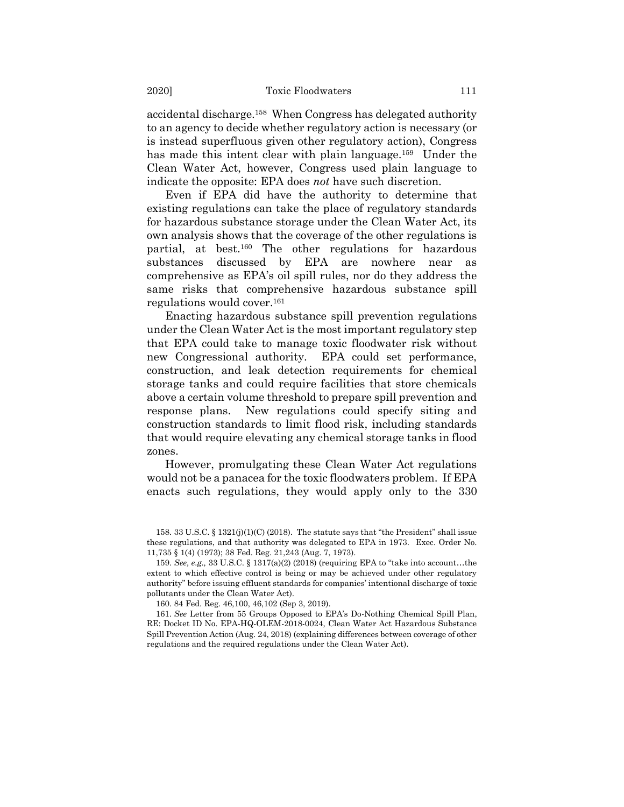accidental discharge.<sup>158</sup> When Congress has delegated authority to an agency to decide whether regulatory action is necessary (or is instead superfluous given other regulatory action), Congress has made this intent clear with plain language.<sup>159</sup> Under the Clean Water Act, however, Congress used plain language to indicate the opposite: EPA does *not* have such discretion.

Even if EPA did have the authority to determine that existing regulations can take the place of regulatory standards for hazardous substance storage under the Clean Water Act, its own analysis shows that the coverage of the other regulations is partial, at best.<sup>160</sup> The other regulations for hazardous substances discussed by EPA are nowhere near as comprehensive as EPA's oil spill rules, nor do they address the same risks that comprehensive hazardous substance spill regulations would cover.<sup>161</sup>

Enacting hazardous substance spill prevention regulations under the Clean Water Act is the most important regulatory step that EPA could take to manage toxic floodwater risk without new Congressional authority. EPA could set performance, construction, and leak detection requirements for chemical storage tanks and could require facilities that store chemicals above a certain volume threshold to prepare spill prevention and response plans. New regulations could specify siting and construction standards to limit flood risk, including standards that would require elevating any chemical storage tanks in flood zones.

However, promulgating these Clean Water Act regulations would not be a panacea for the toxic floodwaters problem. If EPA enacts such regulations, they would apply only to the 330

160. 84 Fed. Reg. 46,100, 46,102 (Sep 3, 2019).

<sup>158.</sup> 33 U.S.C. § 1321(j)(1)(C) (2018). The statute says that "the President" shall issue these regulations, and that authority was delegated to EPA in 1973. Exec. Order No. 11,735 § 1(4) (1973); 38 Fed. Reg. 21,243 (Aug. 7, 1973).

<sup>159.</sup> *See, e.g.,* 33 U.S.C. § 1317(a)(2) (2018) (requiring EPA to "take into account…the extent to which effective control is being or may be achieved under other regulatory authority" before issuing effluent standards for companies' intentional discharge of toxic pollutants under the Clean Water Act).

<sup>161.</sup> *See* Letter from 55 Groups Opposed to EPA's Do-Nothing Chemical Spill Plan, RE: Docket ID No. EPA-HQ-OLEM-2018-0024, Clean Water Act Hazardous Substance Spill Prevention Action (Aug. 24, 2018) (explaining differences between coverage of other regulations and the required regulations under the Clean Water Act).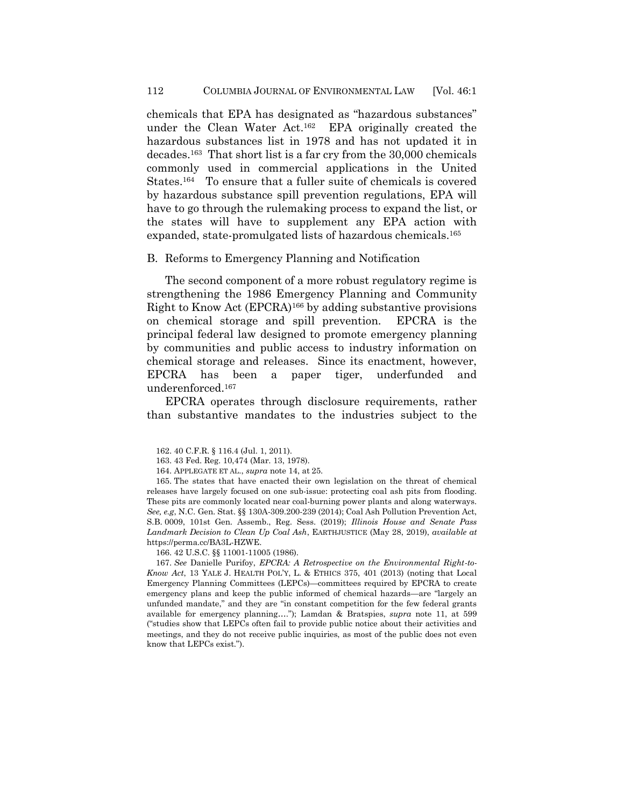chemicals that EPA has designated as "hazardous substances" under the Clean Water Act.<sup>162</sup> EPA originally created the hazardous substances list in 1978 and has not updated it in decades.<sup>163</sup> That short list is a far cry from the 30,000 chemicals commonly used in commercial applications in the United States.<sup>164</sup> To ensure that a fuller suite of chemicals is covered by hazardous substance spill prevention regulations, EPA will have to go through the rulemaking process to expand the list, or the states will have to supplement any EPA action with expanded, state-promulgated lists of hazardous chemicals.<sup>165</sup>

#### B. Reforms to Emergency Planning and Notification

The second component of a more robust regulatory regime is strengthening the 1986 Emergency Planning and Community Right to Know Act (EPCRA)<sup>166</sup> by adding substantive provisions on chemical storage and spill prevention. EPCRA is the principal federal law designed to promote emergency planning by communities and public access to industry information on chemical storage and releases. Since its enactment, however, EPCRA has been a paper tiger, underfunded and underenforced.<sup>167</sup>

<span id="page-39-0"></span>EPCRA operates through disclosure requirements, rather than substantive mandates to the industries subject to the

165. The states that have enacted their own legislation on the threat of chemical releases have largely focused on one sub-issue: protecting coal ash pits from flooding. These pits are commonly located near coal-burning power plants and along waterways. *See, e.g*, N.C. Gen. Stat. §§ 130A-309.200-239 (2014); Coal Ash Pollution Prevention Act, S.B. 0009, 101st Gen. Assemb., Reg. Sess. (2019); *Illinois House and Senate Pass Landmark Decision to Clean Up Coal Ash*, EARTHJUSTICE (May 28, 2019), *available at*  https://perma.cc/BA3L-HZWE.

166. 42 U.S.C. §§ 11001-11005 (1986).

167. *See* Danielle Purifoy, *EPCRA: A Retrospective on the Environmental Right-to-Know Act*, 13 YALE J. HEALTH POL'Y, L. & ETHICS 375, 401 (2013) (noting that Local Emergency Planning Committees (LEPCs)—committees required by EPCRA to create emergency plans and keep the public informed of chemical hazards—are "largely an unfunded mandate," and they are "in constant competition for the few federal grants available for emergency planning…."); Lamdan & Bratspies, *supra* note [11,](#page-3-2) at 599 ("studies show that LEPCs often fail to provide public notice about their activities and meetings, and they do not receive public inquiries, as most of the public does not even know that LEPCs exist.").

<sup>162.</sup> 40 C.F.R. § 116.4 (Jul. 1, 2011).

<sup>163.</sup> 43 Fed. Reg. 10,474 (Mar. 13, 1978).

<sup>164.</sup> APPLEGATE ET AL., *supra* note [14,](#page-5-0) at 25.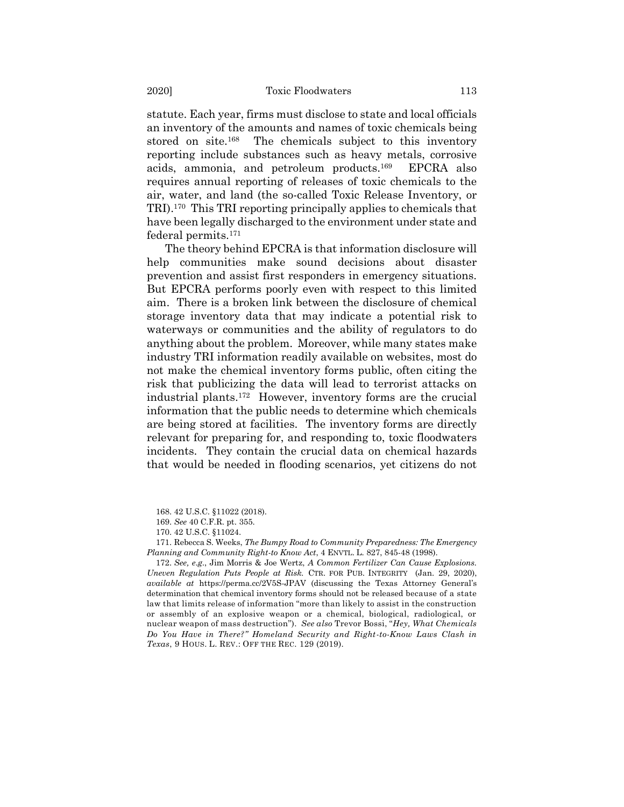statute. Each year, firms must disclose to state and local officials an inventory of the amounts and names of toxic chemicals being stored on site.<sup>168</sup> The chemicals subject to this inventory reporting include substances such as heavy metals, corrosive acids, ammonia, and petroleum products.<sup>169</sup> EPCRA also requires annual reporting of releases of toxic chemicals to the air, water, and land (the so-called Toxic Release Inventory, or TRI).<sup>170</sup> This TRI reporting principally applies to chemicals that have been legally discharged to the environment under state and federal permits.<sup>171</sup>

The theory behind EPCRA is that information disclosure will help communities make sound decisions about disaster prevention and assist first responders in emergency situations. But EPCRA performs poorly even with respect to this limited aim. There is a broken link between the disclosure of chemical storage inventory data that may indicate a potential risk to waterways or communities and the ability of regulators to do anything about the problem. Moreover, while many states make industry TRI information readily available on websites, most do not make the chemical inventory forms public, often citing the risk that publicizing the data will lead to terrorist attacks on industrial plants.<sup>172</sup> However, inventory forms are the crucial information that the public needs to determine which chemicals are being stored at facilities. The inventory forms are directly relevant for preparing for, and responding to, toxic floodwaters incidents. They contain the crucial data on chemical hazards that would be needed in flooding scenarios, yet citizens do not

168. 42 U.S.C. §11022 (2018).

169. *See* 40 C.F.R. pt. 355.

170. 42 U.S.C. §11024.

171. Rebecca S. Weeks, *The Bumpy Road to Community Preparedness: The Emergency Planning and Community Right-to Know Act*, 4 ENVTL. L. 827, 845-48 (1998).

172. *See, e*.*g*., Jim Morris & Joe Wertz, *A Common Fertilizer Can Cause Explosions. Uneven Regulation Puts People at Risk.* CTR. FOR PUB. INTEGRITY (Jan. 29, 2020), *available at* https://perma.cc/2V5S-JPAV (discussing the Texas Attorney General's determination that chemical inventory forms should not be released because of a state law that limits release of information "more than likely to assist in the construction or assembly of an explosive weapon or a chemical, biological, radiological, or nuclear weapon of mass destruction"). *See also* Trevor Bossi, "*Hey, What Chemicals Do You Have in There?" Homeland Security and Right-to-Know Laws Clash in Texas*, 9 HOUS. L. REV.: OFF THE REC. 129 (2019).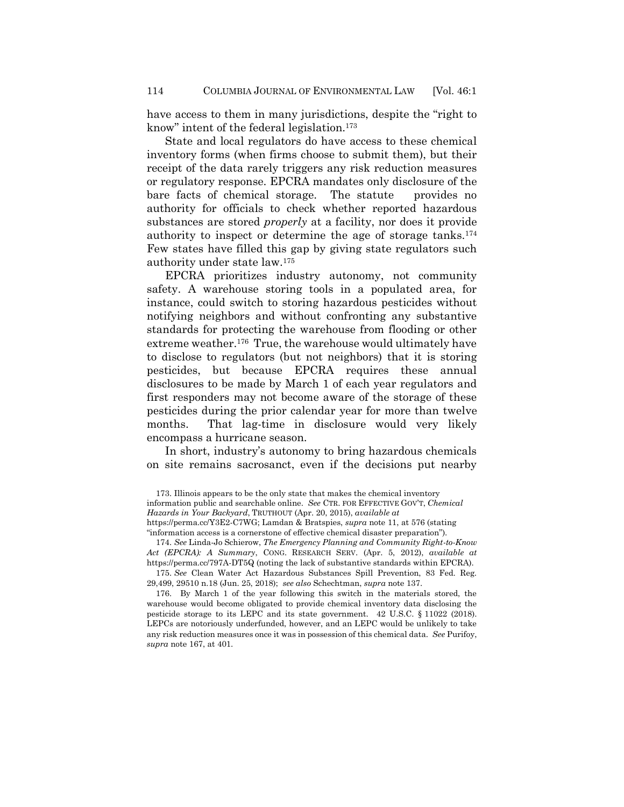have access to them in many jurisdictions, despite the "right to know" intent of the federal legislation.<sup>173</sup>

State and local regulators do have access to these chemical inventory forms (when firms choose to submit them), but their receipt of the data rarely triggers any risk reduction measures or regulatory response. EPCRA mandates only disclosure of the bare facts of chemical storage. The statute provides no authority for officials to check whether reported hazardous substances are stored *properly* at a facility, nor does it provide authority to inspect or determine the age of storage tanks.<sup>174</sup> Few states have filled this gap by giving state regulators such authority under state law.<sup>175</sup>

EPCRA prioritizes industry autonomy, not community safety. A warehouse storing tools in a populated area, for instance, could switch to storing hazardous pesticides without notifying neighbors and without confronting any substantive standards for protecting the warehouse from flooding or other extreme weather.<sup>176</sup> True, the warehouse would ultimately have to disclose to regulators (but not neighbors) that it is storing pesticides, but because EPCRA requires these annual disclosures to be made by March 1 of each year regulators and first responders may not become aware of the storage of these pesticides during the prior calendar year for more than twelve months. That lag-time in disclosure would very likely encompass a hurricane season.

In short, industry's autonomy to bring hazardous chemicals on site remains sacrosanct, even if the decisions put nearby

174. *See* Linda-Jo Schierow, *The Emergency Planning and Community Right-to-Know Act (EPCRA): A Summary*, CONG. RESEARCH SERV. (Apr. 5, 2012), *available at* https://perma.cc/797A-DT5Q (noting the lack of substantive standards within EPCRA).

175. *See* Clean Water Act Hazardous Substances Spill Prevention, 83 Fed. Reg. 29,499, 29510 n.18 (Jun. 25, 2018); *see also* Schechtman, *supra* note [137.](#page-34-1)

176. By March 1 of the year following this switch in the materials stored, the warehouse would become obligated to provide chemical inventory data disclosing the pesticide storage to its LEPC and its state government. 42 U.S.C. § 11022 (2018). LEPCs are notoriously underfunded, however, and an LEPC would be unlikely to take any risk reduction measures once it was in possession of this chemical data. *See* Purifoy, *supra* note [167,](#page-39-0) at 401.

<sup>173.</sup> Illinois appears to be the only state that makes the chemical inventory information public and searchable online. *See* CTR. FOR EFFECTIVE GOV'T, *Chemical Hazards in Your Backyard*, TRUTHOUT (Apr. 20, 2015), *available at*  https://perma.cc/Y3E2-C7WG; Lamdan & Bratspies, *supra* not[e 11,](#page-3-2) at 576 (stating "information access is a cornerstone of effective chemical disaster preparation").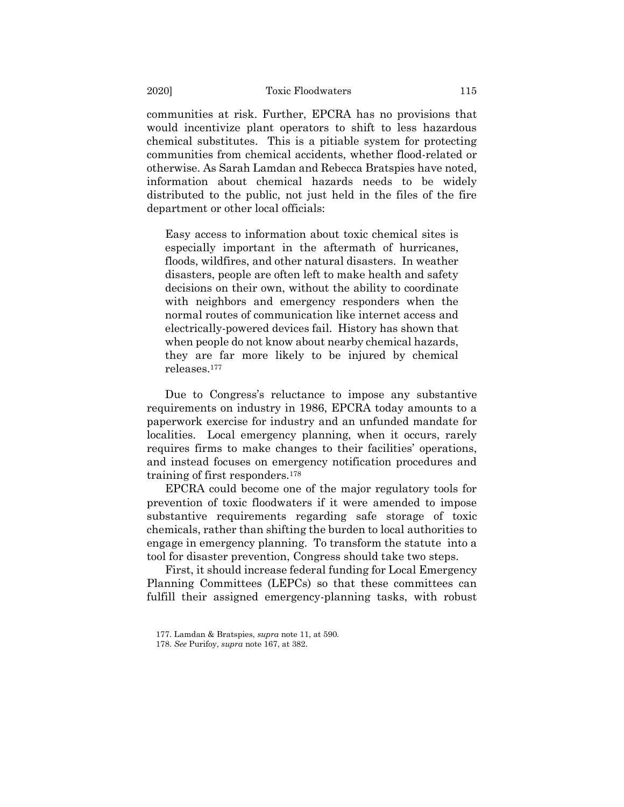communities at risk. Further, EPCRA has no provisions that would incentivize plant operators to shift to less hazardous chemical substitutes. This is a pitiable system for protecting communities from chemical accidents, whether flood-related or otherwise. As Sarah Lamdan and Rebecca Bratspies have noted, information about chemical hazards needs to be widely distributed to the public, not just held in the files of the fire department or other local officials:

Easy access to information about toxic chemical sites is especially important in the aftermath of hurricanes, floods, wildfires, and other natural disasters. In weather disasters, people are often left to make health and safety decisions on their own, without the ability to coordinate with neighbors and emergency responders when the normal routes of communication like internet access and electrically-powered devices fail. History has shown that when people do not know about nearby chemical hazards, they are far more likely to be injured by chemical releases.<sup>177</sup>

Due to Congress's reluctance to impose any substantive requirements on industry in 1986, EPCRA today amounts to a paperwork exercise for industry and an unfunded mandate for localities. Local emergency planning, when it occurs, rarely requires firms to make changes to their facilities' operations, and instead focuses on emergency notification procedures and training of first responders.<sup>178</sup>

EPCRA could become one of the major regulatory tools for prevention of toxic floodwaters if it were amended to impose substantive requirements regarding safe storage of toxic chemicals, rather than shifting the burden to local authorities to engage in emergency planning. To transform the statute into a tool for disaster prevention, Congress should take two steps.

First, it should increase federal funding for Local Emergency Planning Committees (LEPCs) so that these committees can fulfill their assigned emergency-planning tasks, with robust

<sup>177.</sup> Lamdan & Bratspies, *supra* note [11,](#page-3-2) at 590.

<sup>178.</sup> *See* Purifoy, *supra* note [167,](#page-39-0) at 382.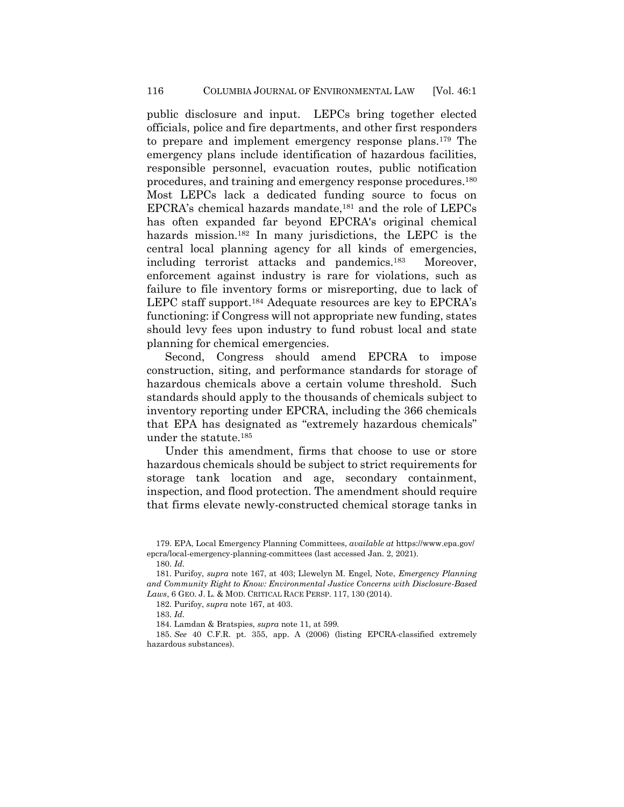public disclosure and input. LEPCs bring together elected officials, police and fire departments, and other first responders to prepare and implement emergency response plans.<sup>179</sup> The emergency plans include identification of hazardous facilities, responsible personnel, evacuation routes, public notification procedures, and training and emergency response procedures.<sup>180</sup> Most LEPCs lack a dedicated funding source to focus on EPCRA's chemical hazards mandate,<sup>181</sup> and the role of LEPCs has often expanded far beyond EPCRA's original chemical hazards mission.<sup>182</sup> In many jurisdictions, the LEPC is the central local planning agency for all kinds of emergencies, including terrorist attacks and pandemics.<sup>183</sup> Moreover, enforcement against industry is rare for violations, such as failure to file inventory forms or misreporting, due to lack of LEPC staff support.<sup>184</sup> Adequate resources are key to EPCRA's functioning: if Congress will not appropriate new funding, states should levy fees upon industry to fund robust local and state planning for chemical emergencies.

Second, Congress should amend EPCRA to impose construction, siting, and performance standards for storage of hazardous chemicals above a certain volume threshold. Such standards should apply to the thousands of chemicals subject to inventory reporting under EPCRA, including the 366 chemicals that EPA has designated as "extremely hazardous chemicals" under the statute.<sup>185</sup>

Under this amendment, firms that choose to use or store hazardous chemicals should be subject to strict requirements for storage tank location and age, secondary containment, inspection, and flood protection. The amendment should require that firms elevate newly-constructed chemical storage tanks in

181. Purifoy, *supra* not[e 167,](#page-39-0) at 403; Llewelyn M. Engel, Note, *Emergency Planning and Community Right to Know: Environmental Justice Concerns with Disclosure-Based Laws*, 6 GEO. J. L. & MOD. CRITICAL RACE PERSP. 117, 130 (2014).

<sup>179.</sup> EPA, Local Emergency Planning Committees, *available at* <https://www.epa.gov/> epcra/local-emergency-planning-committees (last accessed Jan. 2, 2021).

<sup>180.</sup> *Id*.

<sup>182.</sup> Purifoy, *supra* note 167, at 403.

<sup>183.</sup> *Id.*

<sup>184.</sup> Lamdan & Bratspies, *supra* note [11,](#page-3-2) at 599.

<sup>185.</sup> *See* 40 C.F.R. pt. 355, app. A (2006) (listing EPCRA-classified extremely hazardous substances).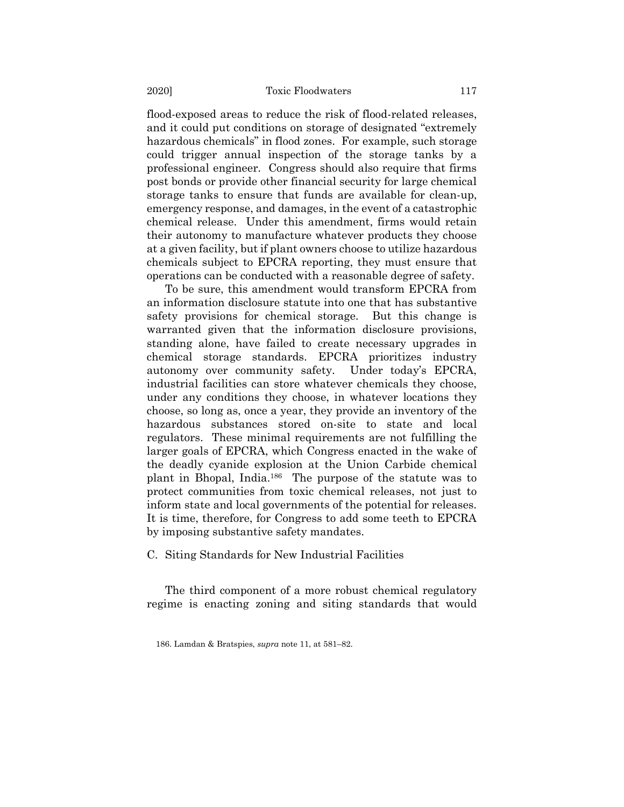flood-exposed areas to reduce the risk of flood-related releases, and it could put conditions on storage of designated "extremely hazardous chemicals" in flood zones. For example, such storage could trigger annual inspection of the storage tanks by a professional engineer. Congress should also require that firms post bonds or provide other financial security for large chemical storage tanks to ensure that funds are available for clean-up, emergency response, and damages, in the event of a catastrophic chemical release. Under this amendment, firms would retain their autonomy to manufacture whatever products they choose at a given facility, but if plant owners choose to utilize hazardous chemicals subject to EPCRA reporting, they must ensure that operations can be conducted with a reasonable degree of safety.

To be sure, this amendment would transform EPCRA from an information disclosure statute into one that has substantive safety provisions for chemical storage. But this change is warranted given that the information disclosure provisions, standing alone, have failed to create necessary upgrades in chemical storage standards. EPCRA prioritizes industry autonomy over community safety. Under today's EPCRA, industrial facilities can store whatever chemicals they choose, under any conditions they choose, in whatever locations they choose, so long as, once a year, they provide an inventory of the hazardous substances stored on-site to state and local regulators. These minimal requirements are not fulfilling the larger goals of EPCRA, which Congress enacted in the wake of the deadly cyanide explosion at the Union Carbide chemical plant in Bhopal, India.<sup>186</sup> The purpose of the statute was to protect communities from toxic chemical releases, not just to inform state and local governments of the potential for releases. It is time, therefore, for Congress to add some teeth to EPCRA by imposing substantive safety mandates.

C. Siting Standards for New Industrial Facilities

The third component of a more robust chemical regulatory regime is enacting zoning and siting standards that would

<sup>186.</sup> Lamdan & Bratspies, *supra* note [11,](#page-3-2) at 581–82.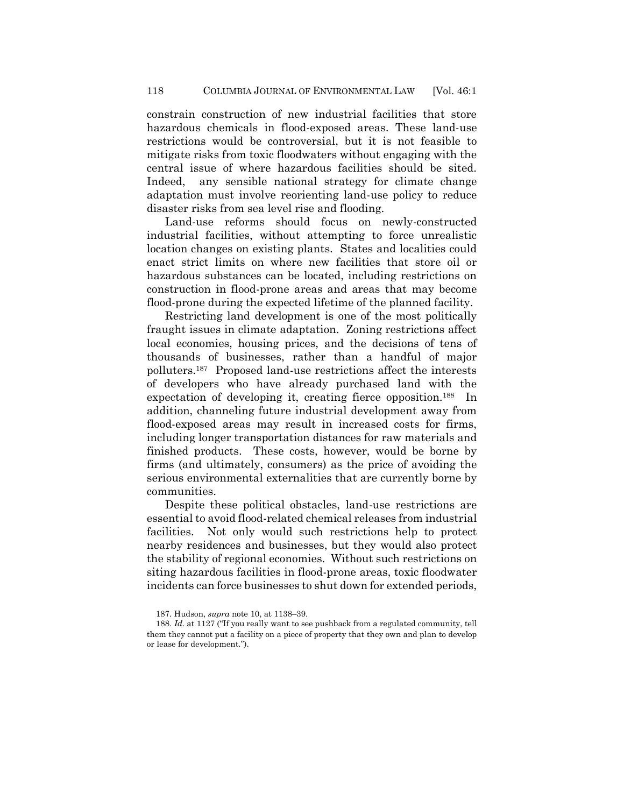constrain construction of new industrial facilities that store hazardous chemicals in flood-exposed areas. These land-use restrictions would be controversial, but it is not feasible to mitigate risks from toxic floodwaters without engaging with the central issue of where hazardous facilities should be sited. Indeed, any sensible national strategy for climate change adaptation must involve reorienting land-use policy to reduce disaster risks from sea level rise and flooding.

Land-use reforms should focus on newly-constructed industrial facilities, without attempting to force unrealistic location changes on existing plants. States and localities could enact strict limits on where new facilities that store oil or hazardous substances can be located, including restrictions on construction in flood-prone areas and areas that may become flood-prone during the expected lifetime of the planned facility.

Restricting land development is one of the most politically fraught issues in climate adaptation. Zoning restrictions affect local economies, housing prices, and the decisions of tens of thousands of businesses, rather than a handful of major polluters.<sup>187</sup> Proposed land-use restrictions affect the interests of developers who have already purchased land with the expectation of developing it, creating fierce opposition.<sup>188</sup> In addition, channeling future industrial development away from flood-exposed areas may result in increased costs for firms, including longer transportation distances for raw materials and finished products. These costs, however, would be borne by firms (and ultimately, consumers) as the price of avoiding the serious environmental externalities that are currently borne by communities.

Despite these political obstacles, land-use restrictions are essential to avoid flood-related chemical releases from industrial facilities. Not only would such restrictions help to protect nearby residences and businesses, but they would also protect the stability of regional economies. Without such restrictions on siting hazardous facilities in flood-prone areas, toxic floodwater incidents can force businesses to shut down for extended periods,

<sup>187.</sup> Hudson, *supra* not[e 10,](#page-3-1) at 1138–39.

<sup>188.</sup> *Id*. at 1127 ("If you really want to see pushback from a regulated community, tell them they cannot put a facility on a piece of property that they own and plan to develop or lease for development.").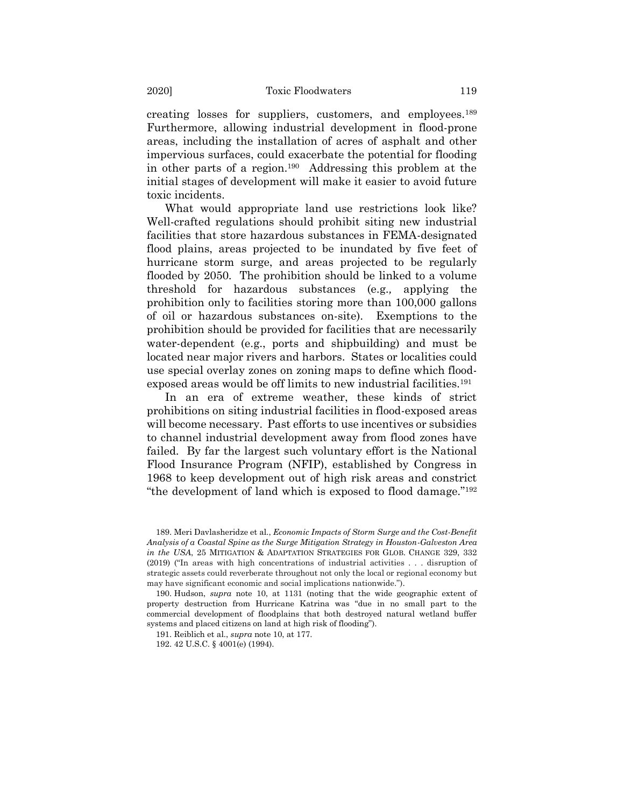creating losses for suppliers, customers, and employees.<sup>189</sup> Furthermore, allowing industrial development in flood-prone areas, including the installation of acres of asphalt and other impervious surfaces, could exacerbate the potential for flooding in other parts of a region.<sup>190</sup> Addressing this problem at the initial stages of development will make it easier to avoid future toxic incidents.

What would appropriate land use restrictions look like? Well-crafted regulations should prohibit siting new industrial facilities that store hazardous substances in FEMA-designated flood plains, areas projected to be inundated by five feet of hurricane storm surge, and areas projected to be regularly flooded by 2050. The prohibition should be linked to a volume threshold for hazardous substances (e.g.*,* applying the prohibition only to facilities storing more than 100,000 gallons of oil or hazardous substances on-site). Exemptions to the prohibition should be provided for facilities that are necessarily water-dependent (e.g., ports and shipbuilding) and must be located near major rivers and harbors. States or localities could use special overlay zones on zoning maps to define which floodexposed areas would be off limits to new industrial facilities.<sup>191</sup>

In an era of extreme weather, these kinds of strict prohibitions on siting industrial facilities in flood-exposed areas will become necessary. Past efforts to use incentives or subsidies to channel industrial development away from flood zones have failed. By far the largest such voluntary effort is the National Flood Insurance Program (NFIP), established by Congress in 1968 to keep development out of high risk areas and constrict "the development of land which is exposed to flood damage."<sup>192</sup>

189. Meri Davlasheridze et al., *Economic Impacts of Storm Surge and the Cost-Benefit Analysis of a Coastal Spine as the Surge Mitigation Strategy in Houston-Galveston Area in the USA*, 25 MITIGATION & ADAPTATION STRATEGIES FOR GLOB. CHANGE 329, 332 (2019) ("In areas with high concentrations of industrial activities . . . disruption of strategic assets could reverberate throughout not only the local or regional economy but may have significant economic and social implications nationwide.").

190. Hudson, *supra* note [10,](#page-3-1) at 1131 (noting that the wide geographic extent of property destruction from Hurricane Katrina was "due in no small part to the commercial development of floodplains that both destroyed natural wetland buffer systems and placed citizens on land at high risk of flooding").

191. Reiblich et al., *supra* note [10,](#page-3-1) at 177.

192. 42 U.S.C. § 4001(e) (1994).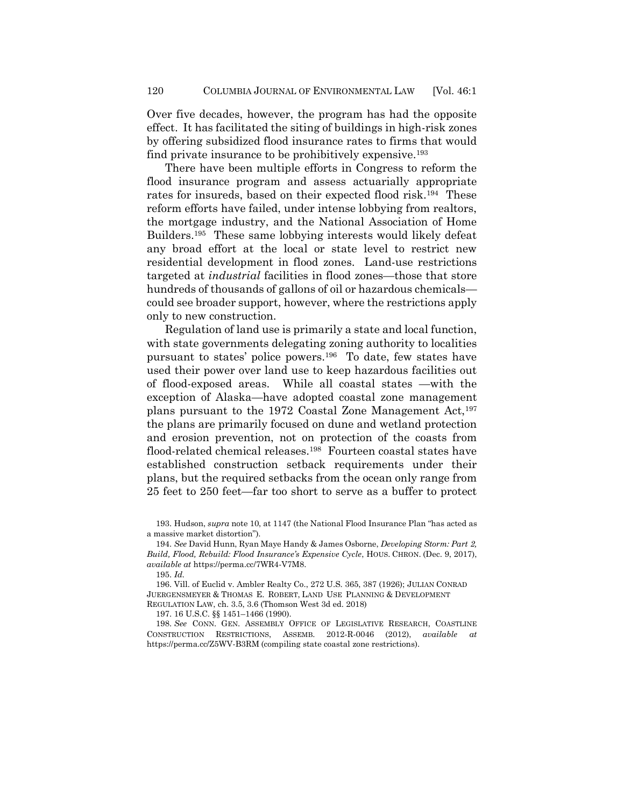Over five decades, however, the program has had the opposite effect. It has facilitated the siting of buildings in high-risk zones by offering subsidized flood insurance rates to firms that would find private insurance to be prohibitively expensive.<sup>193</sup>

There have been multiple efforts in Congress to reform the flood insurance program and assess actuarially appropriate rates for insureds, based on their expected flood risk.<sup>194</sup> These reform efforts have failed, under intense lobbying from realtors, the mortgage industry, and the National Association of Home Builders.<sup>195</sup> These same lobbying interests would likely defeat any broad effort at the local or state level to restrict new residential development in flood zones. Land-use restrictions targeted at *industrial* facilities in flood zones—those that store hundreds of thousands of gallons of oil or hazardous chemicals could see broader support, however, where the restrictions apply only to new construction.

Regulation of land use is primarily a state and local function, with state governments delegating zoning authority to localities pursuant to states' police powers.<sup>196</sup> To date, few states have used their power over land use to keep hazardous facilities out of flood-exposed areas. While all coastal states —with the exception of Alaska—have adopted coastal zone management plans pursuant to the 1972 Coastal Zone Management Act,<sup>197</sup> the plans are primarily focused on dune and wetland protection and erosion prevention, not on protection of the coasts from flood-related chemical releases.<sup>198</sup> Fourteen coastal states have established construction setback requirements under their plans, but the required setbacks from the ocean only range from 25 feet to 250 feet—far too short to serve as a buffer to protect

193. Hudson, *supra* not[e 10](#page-3-1), at 1147 (the National Flood Insurance Plan "has acted as a massive market distortion").

194. *See* David Hunn, Ryan Maye Handy & James Osborne, *Developing Storm: Part 2, Build, Flood, Rebuild: Flood Insurance's Expensive Cycle*, HOUS. CHRON. (Dec. 9, 2017), *available at* https://perma.cc/7WR4-V7M8.

195. *Id.*

196. Vill. of Euclid v. Ambler Realty Co., 272 U.S. 365, 387 (1926); JULIAN CONRAD JUERGENSMEYER & THOMAS E. ROBERT, LAND USE PLANNING & DEVELOPMENT REGULATION LAW, ch. 3.5, 3.6 (Thomson West 3d ed. 2018)

197. 16 U.S.C. §§ 1451–1466 (1990).

198. *See* CONN. GEN. ASSEMBLY OFFICE OF LEGISLATIVE RESEARCH, COASTLINE CONSTRUCTION RESTRICTIONS, ASSEMB. 2012-R-0046 (2012), *available* https://perma.cc/Z5WV-B3RM (compiling state coastal zone restrictions).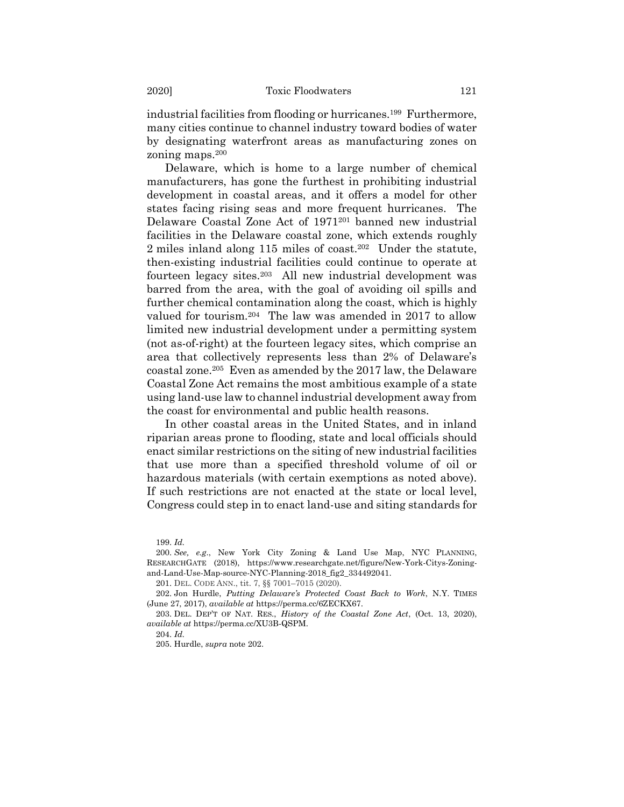industrial facilities from flooding or hurricanes.<sup>199</sup> Furthermore, many cities continue to channel industry toward bodies of water by designating waterfront areas as manufacturing zones on zoning maps.<sup>200</sup>

<span id="page-48-0"></span>Delaware, which is home to a large number of chemical manufacturers, has gone the furthest in prohibiting industrial development in coastal areas, and it offers a model for other states facing rising seas and more frequent hurricanes. The Delaware Coastal Zone Act of 1971<sup>201</sup> banned new industrial facilities in the Delaware coastal zone, which extends roughly 2 miles inland along 115 miles of coast.<sup>202</sup> Under the statute, then-existing industrial facilities could continue to operate at fourteen legacy sites.<sup>203</sup> All new industrial development was barred from the area, with the goal of avoiding oil spills and further chemical contamination along the coast, which is highly valued for tourism.<sup>204</sup> The law was amended in 2017 to allow limited new industrial development under a permitting system (not as-of-right) at the fourteen legacy sites, which comprise an area that collectively represents less than 2% of Delaware's coastal zone.<sup>205</sup> Even as amended by the 2017 law, the Delaware Coastal Zone Act remains the most ambitious example of a state using land-use law to channel industrial development away from the coast for environmental and public health reasons.

In other coastal areas in the United States, and in inland riparian areas prone to flooding, state and local officials should enact similar restrictions on the siting of new industrial facilities that use more than a specified threshold volume of oil or hazardous materials (with certain exemptions as noted above). If such restrictions are not enacted at the state or local level, Congress could step in to enact land-use and siting standards for

199. *Id.*

200. *See, e.g*., New York City Zoning & Land Use Map, NYC PLANNING, RESEARCHGATE (2018), https://www.researchgate.net/figure/New-York-Citys-Zoningand-Land-Use-Map-source-NYC-Planning-2018\_fig2\_334492041.

201. DEL. CODE ANN., tit. 7, §§ 7001–7015 (2020).

202. Jon Hurdle, *Putting Delaware's Protected Coast Back to Work*, N.Y. TIMES (June 27, 2017), *available at* https://perma.cc/6ZECKX67.

203. DEL. DEP'T OF NAT. RES., *History of the Coastal Zone Act*, (Oct. 13, 2020), *available at* https://perma.cc/XU3B-QSPM.

204. *Id.*

205. Hurdle, *supra* note [202.](#page-48-0)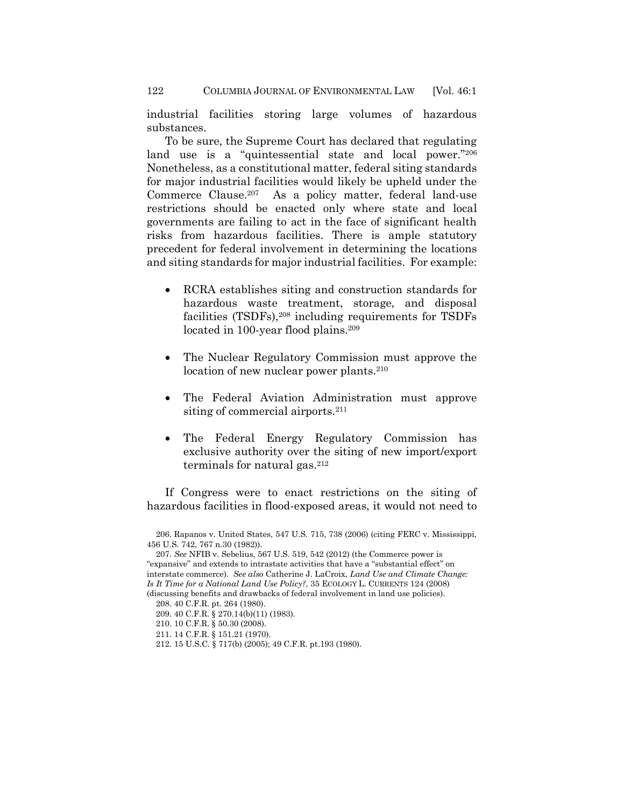industrial facilities storing large volumes of hazardous substances.

To be sure, the Supreme Court has declared that regulating land use is a "quintessential state and local power."<sup>206</sup> Nonetheless, as a constitutional matter, federal siting standards for major industrial facilities would likely be upheld under the Commerce Clause.<sup>207</sup> As a policy matter, federal land-use restrictions should be enacted only where state and local governments are failing to act in the face of significant health risks from hazardous facilities. There is ample statutory precedent for federal involvement in determining the locations and siting standards for major industrial facilities. For example:

- RCRA establishes siting and construction standards for hazardous waste treatment, storage, and disposal facilities (TSDFs),<sup>208</sup> including requirements for TSDFs located in 100-year flood plains.<sup>209</sup>
- The Nuclear Regulatory Commission must approve the location of new nuclear power plants.<sup>210</sup>
- The Federal Aviation Administration must approve siting of commercial airports.<sup>211</sup>
- The Federal Energy Regulatory Commission has exclusive authority over the siting of new import/export terminals for natural gas.<sup>212</sup>

If Congress were to enact restrictions on the siting of hazardous facilities in flood-exposed areas, it would not need to

<sup>206.</sup> Rapanos v. United States, 547 U.S. 715, 738 (2006) (citing FERC v. Mississippi, 456 U.S. 742, 767 n.30 (1982)).

<sup>207.</sup> *See* NFIB v. Sebelius, 567 U.S. 519, 542 (2012) (the Commerce power is "expansive" and extends to intrastate activities that have a "substantial effect" on interstate commerce). *See also* Catherine J. LaCroix, *Land Use and Climate Change: Is It Time for a National Land Use Policy?*, 35 ECOLOGY L. CURRENTS 124 (2008) (discussing benefits and drawbacks of federal involvement in land use policies).

<sup>208.</sup> 40 C.F.R. pt. 264 (1980).

<sup>209.</sup> 40 C.F.R. § 270.14(b)(11) (1983).

<sup>210.</sup> 10 C.F.R. § 50.30 (2008).

<sup>211.</sup> 14 C.F.R. § 151.21 (1970).

<sup>212.</sup> 15 U.S.C. § 717(b) (2005); 49 C.F.R. pt.193 (1980).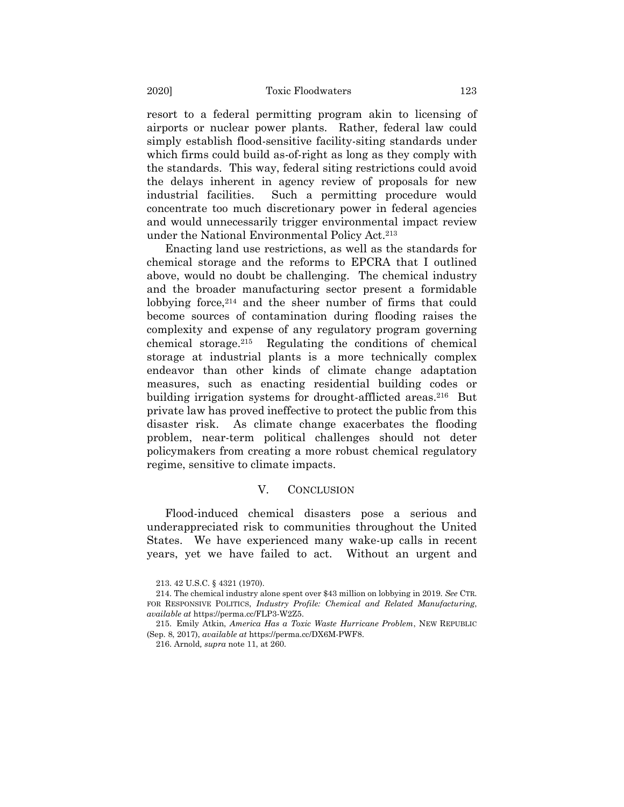resort to a federal permitting program akin to licensing of airports or nuclear power plants. Rather, federal law could simply establish flood-sensitive facility-siting standards under which firms could build as-of-right as long as they comply with the standards. This way, federal siting restrictions could avoid the delays inherent in agency review of proposals for new industrial facilities. Such a permitting procedure would concentrate too much discretionary power in federal agencies and would unnecessarily trigger environmental impact review under the National Environmental Policy Act.<sup>213</sup>

Enacting land use restrictions, as well as the standards for chemical storage and the reforms to EPCRA that I outlined above, would no doubt be challenging. The chemical industry and the broader manufacturing sector present a formidable lobbying force,<sup>214</sup> and the sheer number of firms that could become sources of contamination during flooding raises the complexity and expense of any regulatory program governing chemical storage. 215 Regulating the conditions of chemical storage at industrial plants is a more technically complex endeavor than other kinds of climate change adaptation measures, such as enacting residential building codes or building irrigation systems for drought-afflicted areas.<sup>216</sup> But private law has proved ineffective to protect the public from this disaster risk. As climate change exacerbates the flooding problem, near-term political challenges should not deter policymakers from creating a more robust chemical regulatory regime, sensitive to climate impacts.

#### V. CONCLUSION

Flood-induced chemical disasters pose a serious and underappreciated risk to communities throughout the United States. We have experienced many wake-up calls in recent years, yet we have failed to act. Without an urgent and

<sup>213.</sup> 42 U.S.C. § 4321 (1970).

<sup>214.</sup> The chemical industry alone spent over \$43 million on lobbying in 2019. *See* CTR. FOR RESPONSIVE POLITICS, *Industry Profile: Chemical and Related Manufacturing*, *available at* https://perma.cc/FLP3-W2Z5.

<sup>215.</sup> Emily Atkin, *America Has a Toxic Waste Hurricane Problem*, NEW REPUBLIC (Sep. 8, 2017), *available at* https://perma.cc/DX6M-PWF8.

<sup>216.</sup> Arnold*, supra* note 11, at 260.